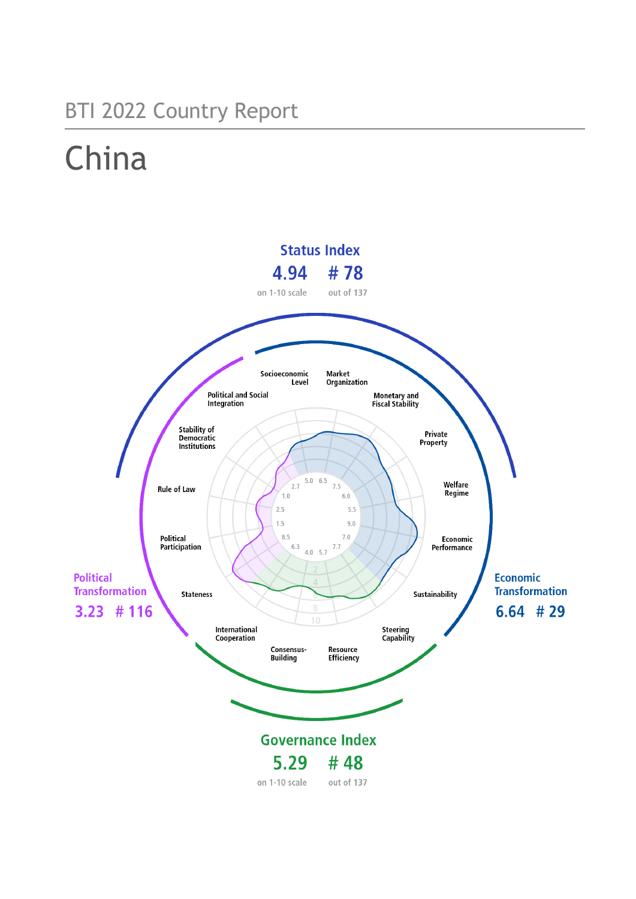## BTI 2022 Country Report

# China

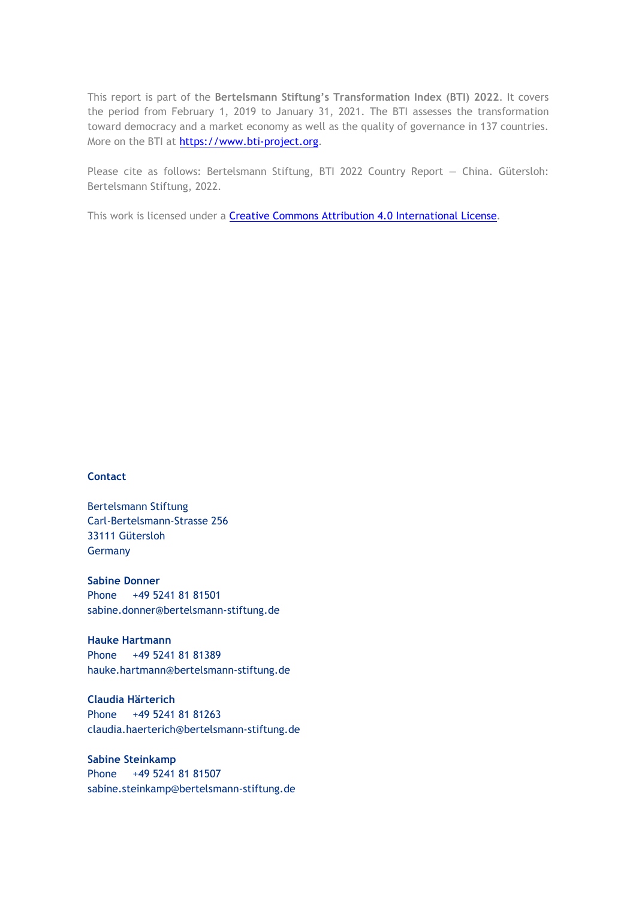This report is part of the **Bertelsmann Stiftung's Transformation Index (BTI) 2022**. It covers the period from February 1, 2019 to January 31, 2021. The BTI assesses the transformation toward democracy and a market economy as well as the quality of governance in 137 countries. More on the BTI at [https://www.bti-project.org.](https://www.bti-project.org/)

Please cite as follows: Bertelsmann Stiftung, BTI 2022 Country Report — China. Gütersloh: Bertelsmann Stiftung, 2022.

This work is licensed under a **Creative Commons Attribution 4.0 International License**.

#### **Contact**

Bertelsmann Stiftung Carl-Bertelsmann-Strasse 256 33111 Gütersloh Germany

**Sabine Donner** Phone +49 5241 81 81501 sabine.donner@bertelsmann-stiftung.de

**Hauke Hartmann** Phone +49 5241 81 81389 hauke.hartmann@bertelsmann-stiftung.de

**Claudia Härterich** Phone +49 5241 81 81263 claudia.haerterich@bertelsmann-stiftung.de

#### **Sabine Steinkamp** Phone +49 5241 81 81507 sabine.steinkamp@bertelsmann-stiftung.de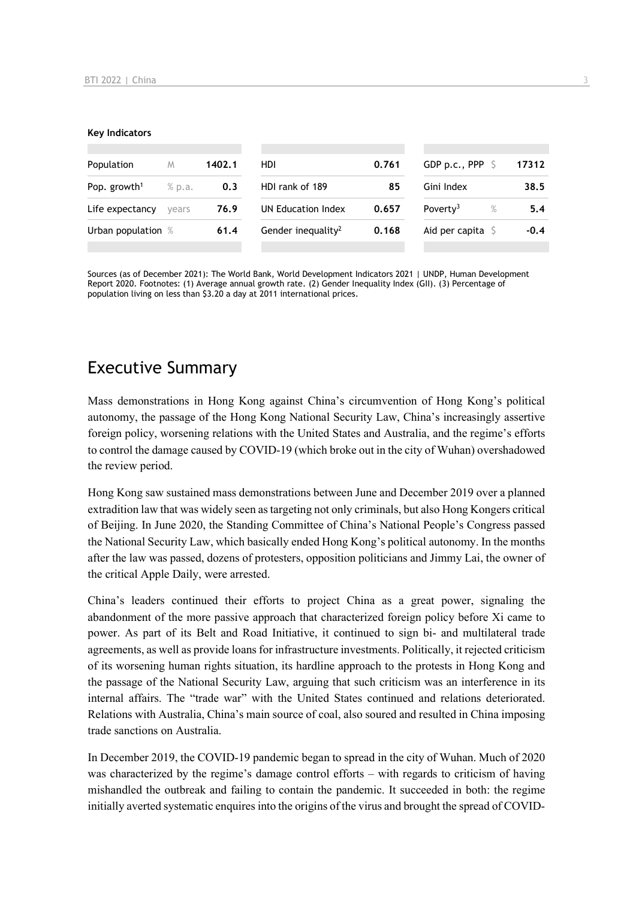#### **Key Indicators**

| Population                         | M     | 1402.1 | HDI.                           | 0.761 | GDP p.c., PPP $\ S$          | 17312  |
|------------------------------------|-------|--------|--------------------------------|-------|------------------------------|--------|
| Pop. growth <sup>1</sup><br>% p.a. |       | 0.3    | HDI rank of 189<br>85          |       | Gini Index                   | 38.5   |
| Life expectancy                    | vears | 76.9   | UN Education Index             | 0.657 | Poverty <sup>3</sup><br>$\%$ | 5.4    |
| Urban population %                 |       | 61.4   | Gender inequality <sup>2</sup> | 0.168 | Aid per capita $\sqrt{2}$    | $-0.4$ |
|                                    |       |        |                                |       |                              |        |

Sources (as of December 2021): The World Bank, World Development Indicators 2021 | UNDP, Human Development Report 2020. Footnotes: (1) Average annual growth rate. (2) Gender Inequality Index (GII). (3) Percentage of population living on less than \$3.20 a day at 2011 international prices.

## Executive Summary

Mass demonstrations in Hong Kong against China's circumvention of Hong Kong's political autonomy, the passage of the Hong Kong National Security Law, China's increasingly assertive foreign policy, worsening relations with the United States and Australia, and the regime's efforts to control the damage caused by COVID-19 (which broke out in the city of Wuhan) overshadowed the review period.

Hong Kong saw sustained mass demonstrations between June and December 2019 over a planned extradition law that was widely seen as targeting not only criminals, but also Hong Kongers critical of Beijing. In June 2020, the Standing Committee of China's National People's Congress passed the National Security Law, which basically ended Hong Kong's political autonomy. In the months after the law was passed, dozens of protesters, opposition politicians and Jimmy Lai, the owner of the critical Apple Daily, were arrested.

China's leaders continued their efforts to project China as a great power, signaling the abandonment of the more passive approach that characterized foreign policy before Xi came to power. As part of its Belt and Road Initiative, it continued to sign bi- and multilateral trade agreements, as well as provide loans for infrastructure investments. Politically, it rejected criticism of its worsening human rights situation, its hardline approach to the protests in Hong Kong and the passage of the National Security Law, arguing that such criticism was an interference in its internal affairs. The "trade war" with the United States continued and relations deteriorated. Relations with Australia, China's main source of coal, also soured and resulted in China imposing trade sanctions on Australia.

In December 2019, the COVID-19 pandemic began to spread in the city of Wuhan. Much of 2020 was characterized by the regime's damage control efforts – with regards to criticism of having mishandled the outbreak and failing to contain the pandemic. It succeeded in both: the regime initially averted systematic enquires into the origins of the virus and brought the spread of COVID-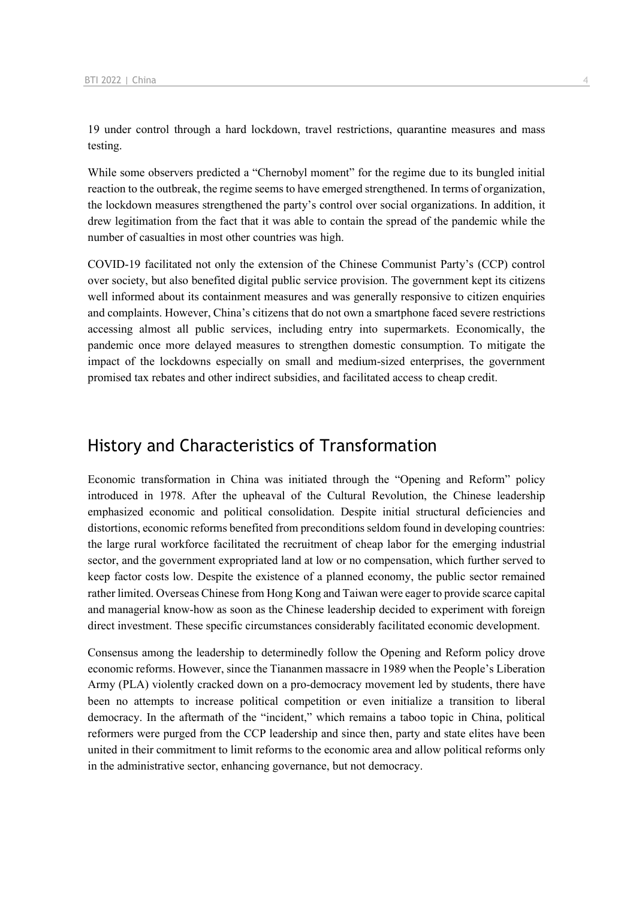19 under control through a hard lockdown, travel restrictions, quarantine measures and mass testing.

While some observers predicted a "Chernobyl moment" for the regime due to its bungled initial reaction to the outbreak, the regime seems to have emerged strengthened. In terms of organization, the lockdown measures strengthened the party's control over social organizations. In addition, it drew legitimation from the fact that it was able to contain the spread of the pandemic while the number of casualties in most other countries was high.

COVID-19 facilitated not only the extension of the Chinese Communist Party's (CCP) control over society, but also benefited digital public service provision. The government kept its citizens well informed about its containment measures and was generally responsive to citizen enquiries and complaints. However, China's citizens that do not own a smartphone faced severe restrictions accessing almost all public services, including entry into supermarkets. Economically, the pandemic once more delayed measures to strengthen domestic consumption. To mitigate the impact of the lockdowns especially on small and medium-sized enterprises, the government promised tax rebates and other indirect subsidies, and facilitated access to cheap credit.

## History and Characteristics of Transformation

Economic transformation in China was initiated through the "Opening and Reform" policy introduced in 1978. After the upheaval of the Cultural Revolution, the Chinese leadership emphasized economic and political consolidation. Despite initial structural deficiencies and distortions, economic reforms benefited from preconditions seldom found in developing countries: the large rural workforce facilitated the recruitment of cheap labor for the emerging industrial sector, and the government expropriated land at low or no compensation, which further served to keep factor costs low. Despite the existence of a planned economy, the public sector remained rather limited. Overseas Chinese from Hong Kong and Taiwan were eager to provide scarce capital and managerial know-how as soon as the Chinese leadership decided to experiment with foreign direct investment. These specific circumstances considerably facilitated economic development.

Consensus among the leadership to determinedly follow the Opening and Reform policy drove economic reforms. However, since the Tiananmen massacre in 1989 when the People's Liberation Army (PLA) violently cracked down on a pro-democracy movement led by students, there have been no attempts to increase political competition or even initialize a transition to liberal democracy. In the aftermath of the "incident," which remains a taboo topic in China, political reformers were purged from the CCP leadership and since then, party and state elites have been united in their commitment to limit reforms to the economic area and allow political reforms only in the administrative sector, enhancing governance, but not democracy.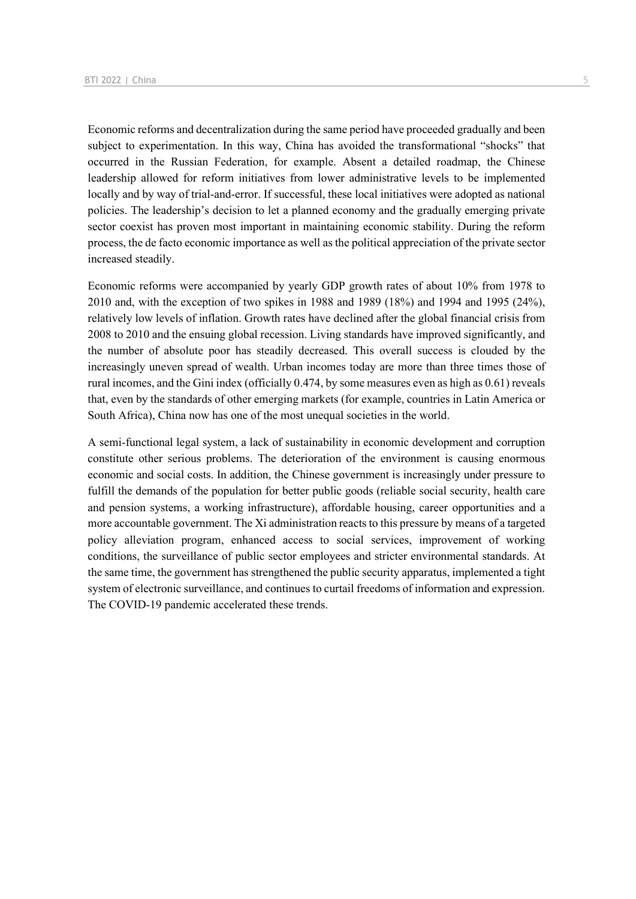Economic reforms and decentralization during the same period have proceeded gradually and been subject to experimentation. In this way, China has avoided the transformational "shocks" that occurred in the Russian Federation, for example. Absent a detailed roadmap, the Chinese leadership allowed for reform initiatives from lower administrative levels to be implemented locally and by way of trial-and-error. If successful, these local initiatives were adopted as national policies. The leadership's decision to let a planned economy and the gradually emerging private sector coexist has proven most important in maintaining economic stability. During the reform process, the de facto economic importance as well as the political appreciation of the private sector increased steadily.

Economic reforms were accompanied by yearly GDP growth rates of about 10% from 1978 to 2010 and, with the exception of two spikes in 1988 and 1989 (18%) and 1994 and 1995 (24%), relatively low levels of inflation. Growth rates have declined after the global financial crisis from 2008 to 2010 and the ensuing global recession. Living standards have improved significantly, and the number of absolute poor has steadily decreased. This overall success is clouded by the increasingly uneven spread of wealth. Urban incomes today are more than three times those of rural incomes, and the Gini index (officially 0.474, by some measures even as high as 0.61) reveals that, even by the standards of other emerging markets (for example, countries in Latin America or South Africa), China now has one of the most unequal societies in the world.

A semi-functional legal system, a lack of sustainability in economic development and corruption constitute other serious problems. The deterioration of the environment is causing enormous economic and social costs. In addition, the Chinese government is increasingly under pressure to fulfill the demands of the population for better public goods (reliable social security, health care and pension systems, a working infrastructure), affordable housing, career opportunities and a more accountable government. The Xi administration reacts to this pressure by means of a targeted policy alleviation program, enhanced access to social services, improvement of working conditions, the surveillance of public sector employees and stricter environmental standards. At the same time, the government has strengthened the public security apparatus, implemented a tight system of electronic surveillance, and continues to curtail freedoms of information and expression. The COVID-19 pandemic accelerated these trends.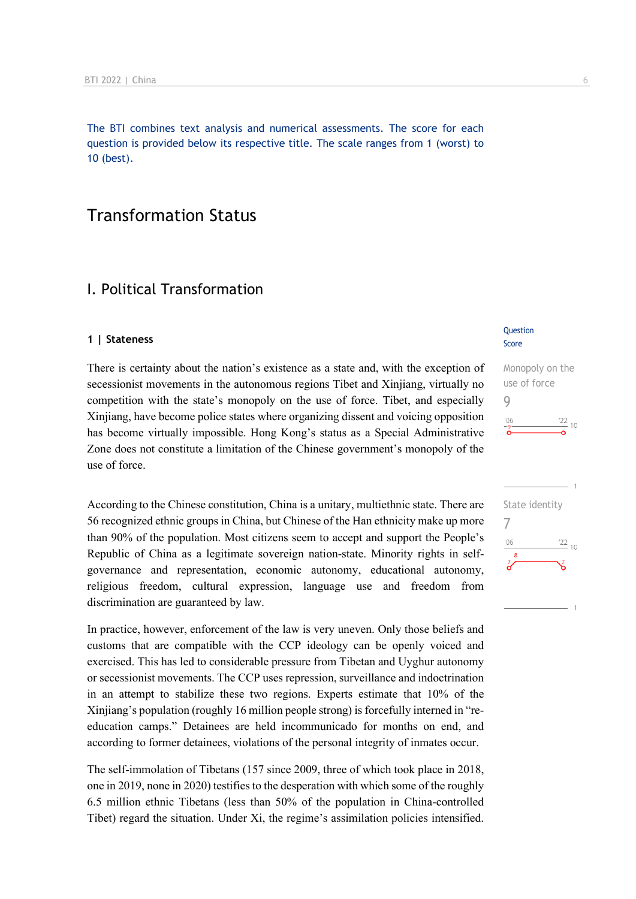The BTI combines text analysis and numerical assessments. The score for each question is provided below its respective title. The scale ranges from 1 (worst) to 10 (best).

## Transformation Status

## I. Political Transformation

#### **1 | Stateness**

There is certainty about the nation's existence as a state and, with the exception of secessionist movements in the autonomous regions Tibet and Xinjiang, virtually no competition with the state's monopoly on the use of force. Tibet, and especially Xinjiang, have become police states where organizing dissent and voicing opposition has become virtually impossible. Hong Kong's status as a Special Administrative Zone does not constitute a limitation of the Chinese government's monopoly of the use of force.

According to the Chinese constitution, China is a unitary, multiethnic state. There are 56 recognized ethnic groups in China, but Chinese of the Han ethnicity make up more than 90% of the population. Most citizens seem to accept and support the People's Republic of China as a legitimate sovereign nation-state. Minority rights in selfgovernance and representation, economic autonomy, educational autonomy, religious freedom, cultural expression, language use and freedom from discrimination are guaranteed by law.

In practice, however, enforcement of the law is very uneven. Only those beliefs and customs that are compatible with the CCP ideology can be openly voiced and exercised. This has led to considerable pressure from Tibetan and Uyghur autonomy or secessionist movements. The CCP uses repression, surveillance and indoctrination in an attempt to stabilize these two regions. Experts estimate that 10% of the Xinjiang's population (roughly 16 million people strong) is forcefully interned in "reeducation camps." Detainees are held incommunicado for months on end, and according to former detainees, violations of the personal integrity of inmates occur.

The self-immolation of Tibetans (157 since 2009, three of which took place in 2018, one in 2019, none in 2020) testifies to the desperation with which some of the roughly 6.5 million ethnic Tibetans (less than 50% of the population in China-controlled Tibet) regard the situation. Under Xi, the regime's assimilation policies intensified.

#### **Question** Score

## Monopoly on the use of force 9  $\frac{22}{10}$  10

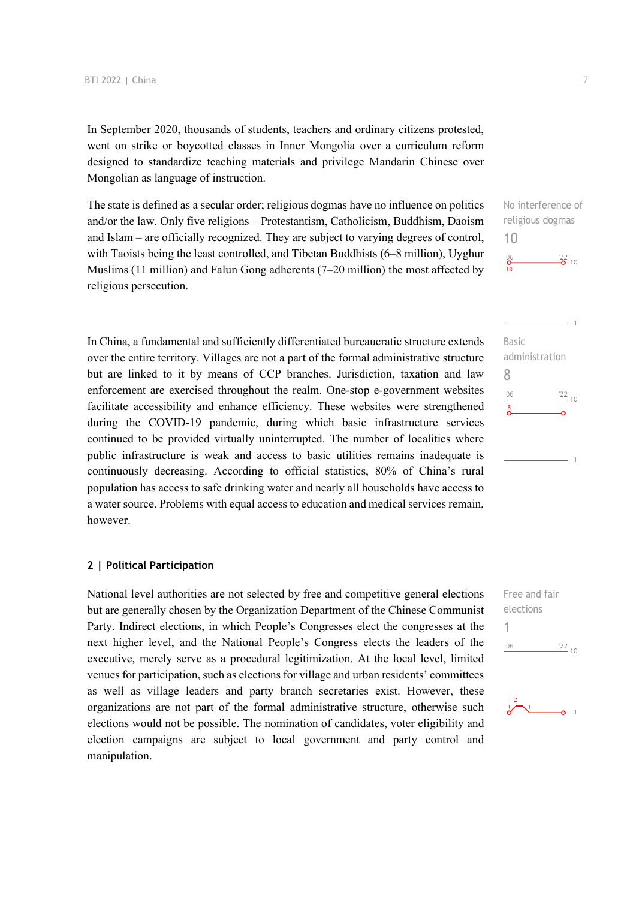In September 2020, thousands of students, teachers and ordinary citizens protested, went on strike or boycotted classes in Inner Mongolia over a curriculum reform designed to standardize teaching materials and privilege Mandarin Chinese over Mongolian as language of instruction.

The state is defined as a secular order; religious dogmas have no influence on politics and/or the law. Only five religions – Protestantism, Catholicism, Buddhism, Daoism and Islam – are officially recognized. They are subject to varying degrees of control, with Taoists being the least controlled, and Tibetan Buddhists (6–8 million), Uyghur Muslims (11 million) and Falun Gong adherents (7–20 million) the most affected by religious persecution.

In China, a fundamental and sufficiently differentiated bureaucratic structure extends over the entire territory. Villages are not a part of the formal administrative structure but are linked to it by means of CCP branches. Jurisdiction, taxation and law enforcement are exercised throughout the realm. One-stop e-government websites facilitate accessibility and enhance efficiency. These websites were strengthened during the COVID-19 pandemic, during which basic infrastructure services continued to be provided virtually uninterrupted. The number of localities where public infrastructure is weak and access to basic utilities remains inadequate is continuously decreasing. According to official statistics, 80% of China's rural population has access to safe drinking water and nearly all households have access to a water source. Problems with equal access to education and medical services remain, however.

#### **2 | Political Participation**

National level authorities are not selected by free and competitive general elections but are generally chosen by the Organization Department of the Chinese Communist Party. Indirect elections, in which People's Congresses elect the congresses at the next higher level, and the National People's Congress elects the leaders of the executive, merely serve as a procedural legitimization. At the local level, limited venues for participation, such as elections for village and urban residents' committees as well as village leaders and party branch secretaries exist. However, these organizations are not part of the formal administrative structure, otherwise such elections would not be possible. The nomination of candidates, voter eligibility and election campaigns are subject to local government and party control and manipulation.

No interference of religious dogmas 10  $\frac{106}{10}$  $\frac{22}{2}$  10



Free and fair elections 1 $\frac{22}{10}$  $^{\prime}06$ 

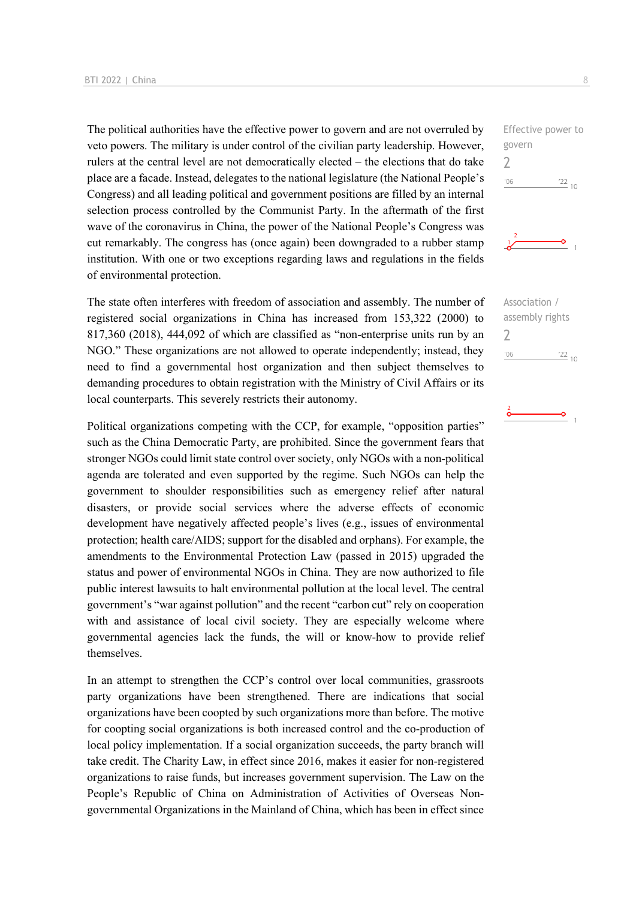The political authorities have the effective power to govern and are not overruled by veto powers. The military is under control of the civilian party leadership. However, rulers at the central level are not democratically elected – the elections that do take place are a facade. Instead, delegates to the national legislature (the National People's Congress) and all leading political and government positions are filled by an internal selection process controlled by the Communist Party. In the aftermath of the first wave of the coronavirus in China, the power of the National People's Congress was cut remarkably. The congress has (once again) been downgraded to a rubber stamp institution. With one or two exceptions regarding laws and regulations in the fields of environmental protection.

The state often interferes with freedom of association and assembly. The number of registered social organizations in China has increased from 153,322 (2000) to 817,360 (2018), 444,092 of which are classified as "non-enterprise units run by an NGO." These organizations are not allowed to operate independently; instead, they need to find a governmental host organization and then subject themselves to demanding procedures to obtain registration with the Ministry of Civil Affairs or its local counterparts. This severely restricts their autonomy.

Political organizations competing with the CCP, for example, "opposition parties" such as the China Democratic Party, are prohibited. Since the government fears that stronger NGOs could limit state control over society, only NGOs with a non-political agenda are tolerated and even supported by the regime. Such NGOs can help the government to shoulder responsibilities such as emergency relief after natural disasters, or provide social services where the adverse effects of economic development have negatively affected people's lives (e.g., issues of environmental protection; health care/AIDS; support for the disabled and orphans). For example, the amendments to the Environmental Protection Law (passed in 2015) upgraded the status and power of environmental NGOs in China. They are now authorized to file public interest lawsuits to halt environmental pollution at the local level. The central government's "war against pollution" and the recent "carbon cut" rely on cooperation with and assistance of local civil society. They are especially welcome where governmental agencies lack the funds, the will or know-how to provide relief themselves.

In an attempt to strengthen the CCP's control over local communities, grassroots party organizations have been strengthened. There are indications that social organizations have been coopted by such organizations more than before. The motive for coopting social organizations is both increased control and the co-production of local policy implementation. If a social organization succeeds, the party branch will take credit. The Charity Law, in effect since 2016, makes it easier for non-registered organizations to raise funds, but increases government supervision. The Law on the People's Republic of China on Administration of Activities of Overseas Nongovernmental Organizations in the Mainland of China, which has been in effect since

Effective power to govern 2  $^{\prime}06$  $\frac{22}{10}$ 



Association / assembly rights  $\overline{\phantom{0}}$  $\frac{22}{10}$  $'06$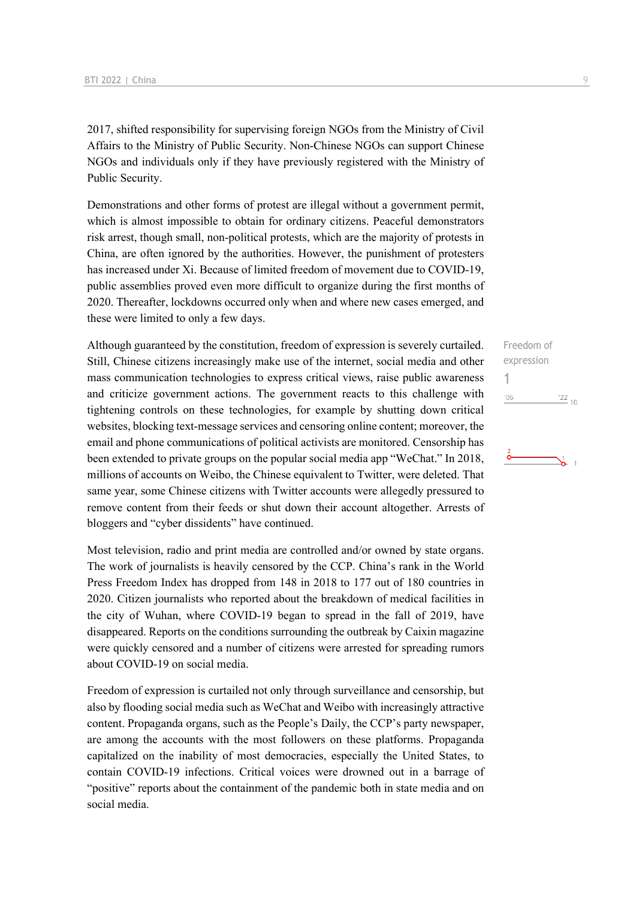2017, shifted responsibility for supervising foreign NGOs from the Ministry of Civil Affairs to the Ministry of Public Security. Non-Chinese NGOs can support Chinese NGOs and individuals only if they have previously registered with the Ministry of Public Security.

Demonstrations and other forms of protest are illegal without a government permit, which is almost impossible to obtain for ordinary citizens. Peaceful demonstrators risk arrest, though small, non-political protests, which are the majority of protests in China, are often ignored by the authorities. However, the punishment of protesters has increased under Xi. Because of limited freedom of movement due to COVID-19, public assemblies proved even more difficult to organize during the first months of 2020. Thereafter, lockdowns occurred only when and where new cases emerged, and these were limited to only a few days.

Although guaranteed by the constitution, freedom of expression is severely curtailed. Still, Chinese citizens increasingly make use of the internet, social media and other mass communication technologies to express critical views, raise public awareness and criticize government actions. The government reacts to this challenge with tightening controls on these technologies, for example by shutting down critical websites, blocking text-message services and censoring online content; moreover, the email and phone communications of political activists are monitored. Censorship has been extended to private groups on the popular social media app "WeChat." In 2018, millions of accounts on Weibo, the Chinese equivalent to Twitter, were deleted. That same year, some Chinese citizens with Twitter accounts were allegedly pressured to remove content from their feeds or shut down their account altogether. Arrests of bloggers and "cyber dissidents" have continued.

Most television, radio and print media are controlled and/or owned by state organs. The work of journalists is heavily censored by the CCP. China's rank in the World Press Freedom Index has dropped from 148 in 2018 to 177 out of 180 countries in 2020. Citizen journalists who reported about the breakdown of medical facilities in the city of Wuhan, where COVID-19 began to spread in the fall of 2019, have disappeared. Reports on the conditions surrounding the outbreak by Caixin magazine were quickly censored and a number of citizens were arrested for spreading rumors about COVID-19 on social media.

Freedom of expression is curtailed not only through surveillance and censorship, but also by flooding social media such as WeChat and Weibo with increasingly attractive content. Propaganda organs, such as the People's Daily, the CCP's party newspaper, are among the accounts with the most followers on these platforms. Propaganda capitalized on the inability of most democracies, especially the United States, to contain COVID-19 infections. Critical voices were drowned out in a barrage of "positive" reports about the containment of the pandemic both in state media and on social media.

## Freedom of expression 1 $106$  $\frac{22}{10}$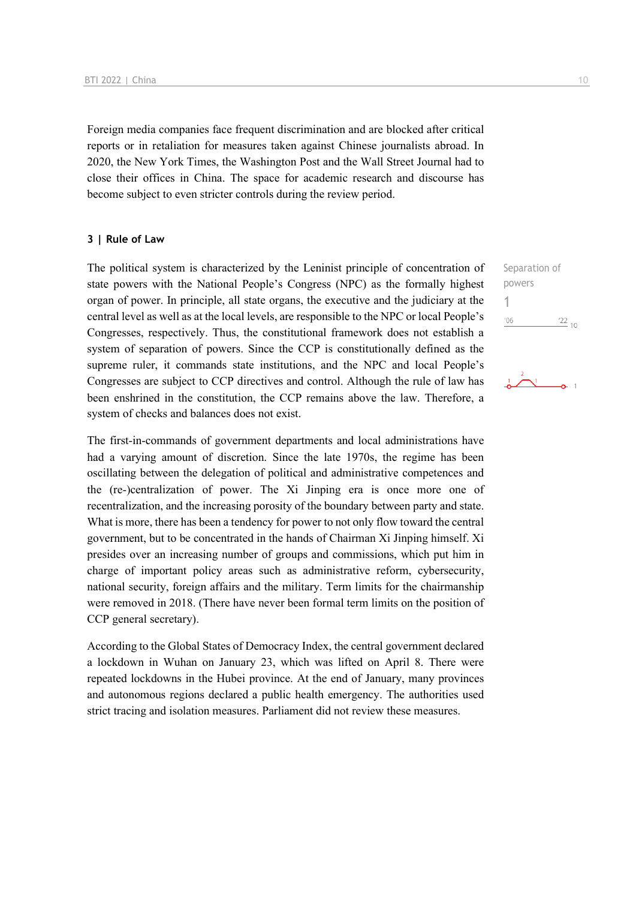Foreign media companies face frequent discrimination and are blocked after critical reports or in retaliation for measures taken against Chinese journalists abroad. In 2020, the New York Times, the Washington Post and the Wall Street Journal had to close their offices in China. The space for academic research and discourse has become subject to even stricter controls during the review period.

#### **3 | Rule of Law**

The political system is characterized by the Leninist principle of concentration of state powers with the National People's Congress (NPC) as the formally highest organ of power. In principle, all state organs, the executive and the judiciary at the central level as well as at the local levels, are responsible to the NPC or local People's Congresses, respectively. Thus, the constitutional framework does not establish a system of separation of powers. Since the CCP is constitutionally defined as the supreme ruler, it commands state institutions, and the NPC and local People's Congresses are subject to CCP directives and control. Although the rule of law has been enshrined in the constitution, the CCP remains above the law. Therefore, a system of checks and balances does not exist.

The first-in-commands of government departments and local administrations have had a varying amount of discretion. Since the late 1970s, the regime has been oscillating between the delegation of political and administrative competences and the (re-)centralization of power. The Xi Jinping era is once more one of recentralization, and the increasing porosity of the boundary between party and state. What is more, there has been a tendency for power to not only flow toward the central government, but to be concentrated in the hands of Chairman Xi Jinping himself. Xi presides over an increasing number of groups and commissions, which put him in charge of important policy areas such as administrative reform, cybersecurity, national security, foreign affairs and the military. Term limits for the chairmanship were removed in 2018. (There have never been formal term limits on the position of CCP general secretary).

According to the Global States of Democracy Index, the central government declared a lockdown in Wuhan on January 23, which was lifted on April 8. There were repeated lockdowns in the Hubei province. At the end of January, many provinces and autonomous regions declared a public health emergency. The authorities used strict tracing and isolation measures. Parliament did not review these measures.

Separation of powers 1 $'06$  $\frac{22}{10}$ 

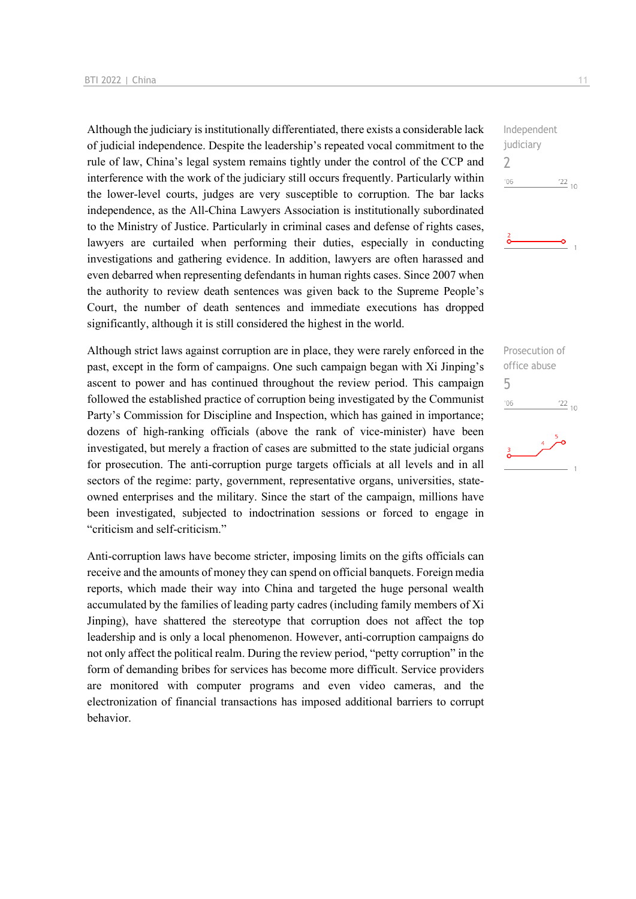Although the judiciary is institutionally differentiated, there exists a considerable lack of judicial independence. Despite the leadership's repeated vocal commitment to the rule of law, China's legal system remains tightly under the control of the CCP and interference with the work of the judiciary still occurs frequently. Particularly within the lower-level courts, judges are very susceptible to corruption. The bar lacks independence, as the All-China Lawyers Association is institutionally subordinated to the Ministry of Justice. Particularly in criminal cases and defense of rights cases, lawyers are curtailed when performing their duties, especially in conducting investigations and gathering evidence. In addition, lawyers are often harassed and even debarred when representing defendants in human rights cases. Since 2007 when the authority to review death sentences was given back to the Supreme People's Court, the number of death sentences and immediate executions has dropped significantly, although it is still considered the highest in the world.

Although strict laws against corruption are in place, they were rarely enforced in the past, except in the form of campaigns. One such campaign began with Xi Jinping's ascent to power and has continued throughout the review period. This campaign followed the established practice of corruption being investigated by the Communist Party's Commission for Discipline and Inspection, which has gained in importance; dozens of high-ranking officials (above the rank of vice-minister) have been investigated, but merely a fraction of cases are submitted to the state judicial organs for prosecution. The anti-corruption purge targets officials at all levels and in all sectors of the regime: party, government, representative organs, universities, stateowned enterprises and the military. Since the start of the campaign, millions have been investigated, subjected to indoctrination sessions or forced to engage in "criticism and self-criticism."

Anti-corruption laws have become stricter, imposing limits on the gifts officials can receive and the amounts of money they can spend on official banquets. Foreign media reports, which made their way into China and targeted the huge personal wealth accumulated by the families of leading party cadres (including family members of Xi Jinping), have shattered the stereotype that corruption does not affect the top leadership and is only a local phenomenon. However, anti-corruption campaigns do not only affect the political realm. During the review period, "petty corruption" in the form of demanding bribes for services has become more difficult. Service providers are monitored with computer programs and even video cameras, and the electronization of financial transactions has imposed additional barriers to corrupt behavior.

Independent judiciary 2  $^{\prime}06$  $\frac{22}{10}$ 

ö

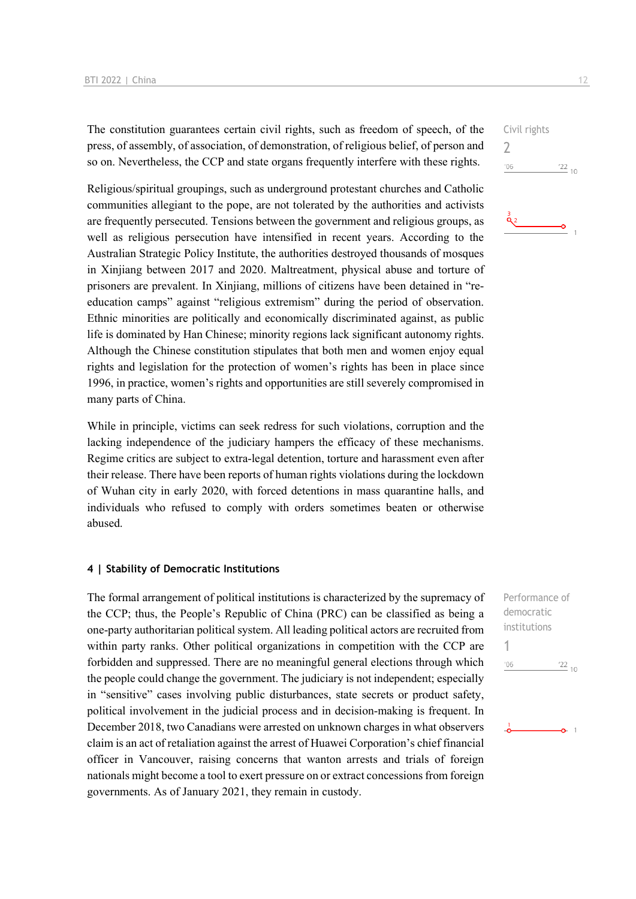The constitution guarantees certain civil rights, such as freedom of speech, of the press, of assembly, of association, of demonstration, of religious belief, of person and so on. Nevertheless, the CCP and state organs frequently interfere with these rights.

Religious/spiritual groupings, such as underground protestant churches and Catholic communities allegiant to the pope, are not tolerated by the authorities and activists are frequently persecuted. Tensions between the government and religious groups, as well as religious persecution have intensified in recent years. According to the Australian Strategic Policy Institute, the authorities destroyed thousands of mosques in Xinjiang between 2017 and 2020. Maltreatment, physical abuse and torture of prisoners are prevalent. In Xinjiang, millions of citizens have been detained in "reeducation camps" against "religious extremism" during the period of observation. Ethnic minorities are politically and economically discriminated against, as public life is dominated by Han Chinese; minority regions lack significant autonomy rights. Although the Chinese constitution stipulates that both men and women enjoy equal rights and legislation for the protection of women's rights has been in place since 1996, in practice, women's rights and opportunities are still severely compromised in many parts of China.

While in principle, victims can seek redress for such violations, corruption and the lacking independence of the judiciary hampers the efficacy of these mechanisms. Regime critics are subject to extra-legal detention, torture and harassment even after their release. There have been reports of human rights violations during the lockdown of Wuhan city in early 2020, with forced detentions in mass quarantine halls, and individuals who refused to comply with orders sometimes beaten or otherwise abused.

#### **4 | Stability of Democratic Institutions**

The formal arrangement of political institutions is characterized by the supremacy of the CCP; thus, the People's Republic of China (PRC) can be classified as being a one-party authoritarian political system. All leading political actors are recruited from within party ranks. Other political organizations in competition with the CCP are forbidden and suppressed. There are no meaningful general elections through which the people could change the government. The judiciary is not independent; especially in "sensitive" cases involving public disturbances, state secrets or product safety, political involvement in the judicial process and in decision-making is frequent. In December 2018, two Canadians were arrested on unknown charges in what observers claim is an act of retaliation against the arrest of Huawei Corporation's chief financial officer in Vancouver, raising concerns that wanton arrests and trials of foreign nationals might become a tool to exert pressure on or extract concessions from foreign governments. As of January 2021, they remain in custody.

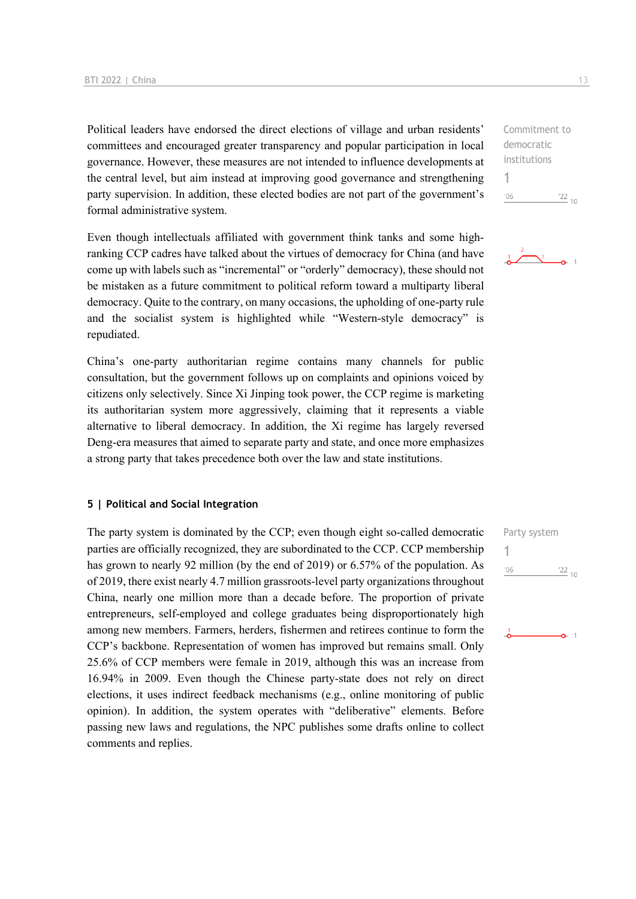Political leaders have endorsed the direct elections of village and urban residents' committees and encouraged greater transparency and popular participation in local governance. However, these measures are not intended to influence developments at the central level, but aim instead at improving good governance and strengthening party supervision. In addition, these elected bodies are not part of the government's formal administrative system.

Even though intellectuals affiliated with government think tanks and some highranking CCP cadres have talked about the virtues of democracy for China (and have come up with labels such as "incremental" or "orderly" democracy), these should not be mistaken as a future commitment to political reform toward a multiparty liberal democracy. Quite to the contrary, on many occasions, the upholding of one-party rule and the socialist system is highlighted while "Western-style democracy" is repudiated.

China's one-party authoritarian regime contains many channels for public consultation, but the government follows up on complaints and opinions voiced by citizens only selectively. Since Xi Jinping took power, the CCP regime is marketing its authoritarian system more aggressively, claiming that it represents a viable alternative to liberal democracy. In addition, the Xi regime has largely reversed Deng-era measures that aimed to separate party and state, and once more emphasizes a strong party that takes precedence both over the law and state institutions.

#### **5 | Political and Social Integration**

The party system is dominated by the CCP; even though eight so-called democratic parties are officially recognized, they are subordinated to the CCP. CCP membership has grown to nearly 92 million (by the end of 2019) or 6.57% of the population. As of 2019, there exist nearly 4.7 million grassroots-level party organizations throughout China, nearly one million more than a decade before. The proportion of private entrepreneurs, self-employed and college graduates being disproportionately high among new members. Farmers, herders, fishermen and retirees continue to form the CCP's backbone. Representation of women has improved but remains small. Only 25.6% of CCP members were female in 2019, although this was an increase from 16.94% in 2009. Even though the Chinese party-state does not rely on direct elections, it uses indirect feedback mechanisms (e.g., online monitoring of public opinion). In addition, the system operates with "deliberative" elements. Before passing new laws and regulations, the NPC publishes some drafts online to collect comments and replies.

Commitment to democratic institutions 1  $-06$  $\frac{22}{10}$ 



## Party system 1 $106$  $\frac{22}{10}$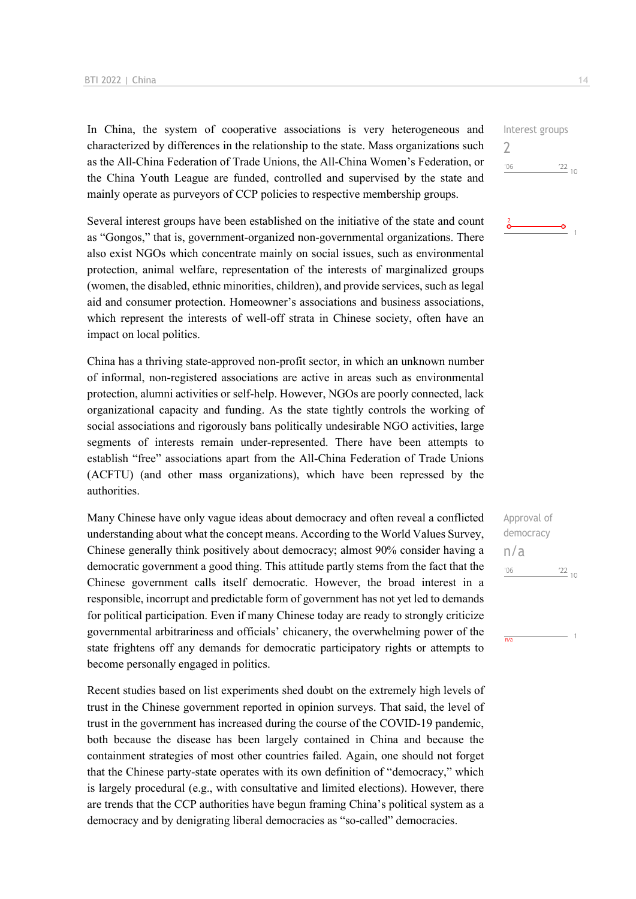In China, the system of cooperative associations is very heterogeneous and characterized by differences in the relationship to the state. Mass organizations such as the All-China Federation of Trade Unions, the All-China Women's Federation, or the China Youth League are funded, controlled and supervised by the state and mainly operate as purveyors of CCP policies to respective membership groups.

Several interest groups have been established on the initiative of the state and count as "Gongos," that is, government-organized non-governmental organizations. There also exist NGOs which concentrate mainly on social issues, such as environmental protection, animal welfare, representation of the interests of marginalized groups (women, the disabled, ethnic minorities, children), and provide services, such as legal aid and consumer protection. Homeowner's associations and business associations, which represent the interests of well-off strata in Chinese society, often have an impact on local politics.

China has a thriving state-approved non-profit sector, in which an unknown number of informal, non-registered associations are active in areas such as environmental protection, alumni activities or self-help. However, NGOs are poorly connected, lack organizational capacity and funding. As the state tightly controls the working of social associations and rigorously bans politically undesirable NGO activities, large segments of interests remain under-represented. There have been attempts to establish "free" associations apart from the All-China Federation of Trade Unions (ACFTU) (and other mass organizations), which have been repressed by the authorities.

Many Chinese have only vague ideas about democracy and often reveal a conflicted understanding about what the concept means. According to the World Values Survey, Chinese generally think positively about democracy; almost 90% consider having a democratic government a good thing. This attitude partly stems from the fact that the Chinese government calls itself democratic. However, the broad interest in a responsible, incorrupt and predictable form of government has not yet led to demands for political participation. Even if many Chinese today are ready to strongly criticize governmental arbitrariness and officials' chicanery, the overwhelming power of the state frightens off any demands for democratic participatory rights or attempts to become personally engaged in politics.

Recent studies based on list experiments shed doubt on the extremely high levels of trust in the Chinese government reported in opinion surveys. That said, the level of trust in the government has increased during the course of the COVID-19 pandemic, both because the disease has been largely contained in China and because the containment strategies of most other countries failed. Again, one should not forget that the Chinese party-state operates with its own definition of "democracy," which is largely procedural (e.g., with consultative and limited elections). However, there are trends that the CCP authorities have begun framing China's political system as a democracy and by denigrating liberal democracies as "so-called" democracies.

| Interest groups |               |
|-----------------|---------------|
|                 |               |
| 106             | $^{22}_{-10}$ |
|                 |               |

![](_page_13_Picture_8.jpeg)

| Approval of |                  |  |
|-------------|------------------|--|
| democracy   |                  |  |
| n/a         |                  |  |
| '06         | $^{\prime}22$ 10 |  |
|             |                  |  |

 $\overline{AB}$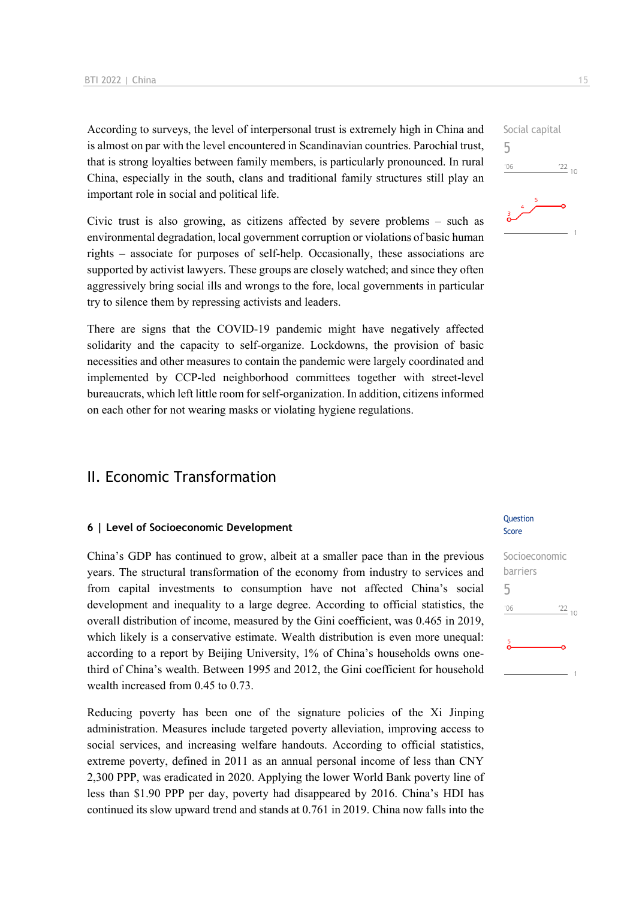According to surveys, the level of interpersonal trust is extremely high in China and is almost on par with the level encountered in Scandinavian countries. Parochial trust, that is strong loyalties between family members, is particularly pronounced. In rural China, especially in the south, clans and traditional family structures still play an important role in social and political life.

Civic trust is also growing, as citizens affected by severe problems – such as environmental degradation, local government corruption or violations of basic human rights – associate for purposes of self-help. Occasionally, these associations are supported by activist lawyers. These groups are closely watched; and since they often aggressively bring social ills and wrongs to the fore, local governments in particular try to silence them by repressing activists and leaders.

There are signs that the COVID-19 pandemic might have negatively affected solidarity and the capacity to self-organize. Lockdowns, the provision of basic necessities and other measures to contain the pandemic were largely coordinated and implemented by CCP-led neighborhood committees together with street-level bureaucrats, which left little room for self-organization. In addition, citizens informed on each other for not wearing masks or violating hygiene regulations.

### II. Economic Transformation

#### **6 | Level of Socioeconomic Development**

China's GDP has continued to grow, albeit at a smaller pace than in the previous years. The structural transformation of the economy from industry to services and from capital investments to consumption have not affected China's social development and inequality to a large degree. According to official statistics, the overall distribution of income, measured by the Gini coefficient, was 0.465 in 2019, which likely is a conservative estimate. Wealth distribution is even more unequal: according to a report by Beijing University, 1% of China's households owns onethird of China's wealth. Between 1995 and 2012, the Gini coefficient for household wealth increased from 0.45 to 0.73.

Reducing poverty has been one of the signature policies of the Xi Jinping administration. Measures include targeted poverty alleviation, improving access to social services, and increasing welfare handouts. According to official statistics, extreme poverty, defined in 2011 as an annual personal income of less than CNY 2,300 PPP, was eradicated in 2020. Applying the lower World Bank poverty line of less than \$1.90 PPP per day, poverty had disappeared by 2016. China's HDI has continued its slow upward trend and stands at 0.761 in 2019. China now falls into the

#### **Ouestion** Score

![](_page_14_Figure_9.jpeg)

5

 $^{\prime}06$ 

![](_page_14_Picture_11.jpeg)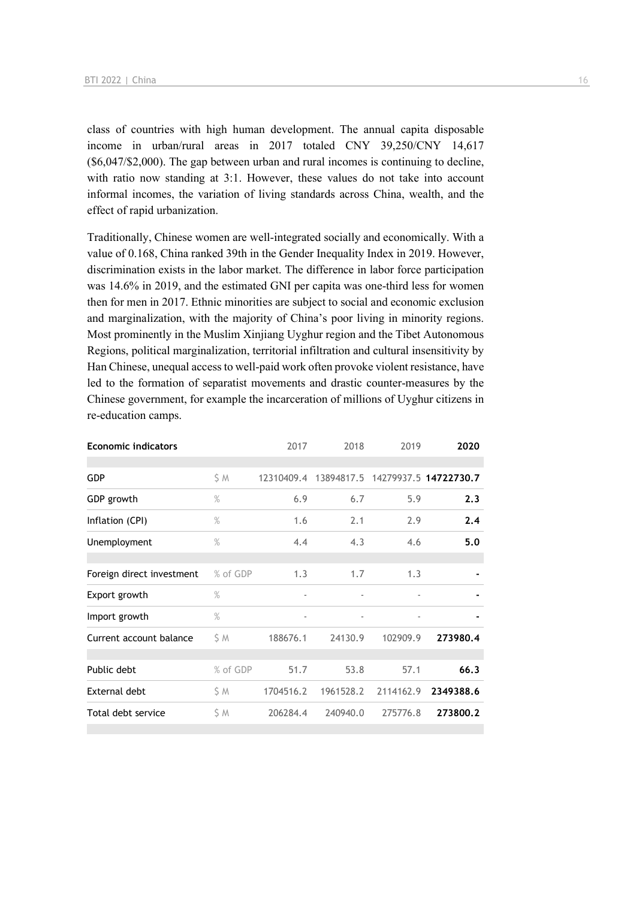class of countries with high human development. The annual capita disposable income in urban/rural areas in 2017 totaled CNY 39,250/CNY 14,617 (\$6,047/\$2,000). The gap between urban and rural incomes is continuing to decline, with ratio now standing at 3:1. However, these values do not take into account informal incomes, the variation of living standards across China, wealth, and the effect of rapid urbanization.

Traditionally, Chinese women are well-integrated socially and economically. With a value of 0.168, China ranked 39th in the Gender Inequality Index in 2019. However, discrimination exists in the labor market. The difference in labor force participation was 14.6% in 2019, and the estimated GNI per capita was one-third less for women then for men in 2017. Ethnic minorities are subject to social and economic exclusion and marginalization, with the majority of China's poor living in minority regions. Most prominently in the Muslim Xinjiang Uyghur region and the Tibet Autonomous Regions, political marginalization, territorial infiltration and cultural insensitivity by Han Chinese, unequal access to well-paid work often provoke violent resistance, have led to the formation of separatist movements and drastic counter-measures by the Chinese government, for example the incarceration of millions of Uyghur citizens in re-education camps.

| <b>Economic indicators</b> |          | 2017                     | 2018                     | 2019                     | 2020                  |
|----------------------------|----------|--------------------------|--------------------------|--------------------------|-----------------------|
| <b>GDP</b>                 | \$ M     | 12310409.4               | 13894817.5               |                          | 14279937.5 14722730.7 |
| GDP growth                 | $\%$     | 6.9                      | 6.7                      | 5.9                      | 2.3                   |
| Inflation (CPI)            | $\%$     | 1.6                      | 2.1                      | 2.9                      | 2.4                   |
| Unemployment               | $\%$     | 4.4                      | 4.3                      | 4.6                      | 5.0                   |
| Foreign direct investment  | % of GDP | 1.3                      | 1.7                      | 1.3                      |                       |
| Export growth              | $\%$     | $\overline{\phantom{0}}$ | $\overline{\phantom{a}}$ | $\overline{\phantom{m}}$ |                       |
| Import growth              | $\%$     | ٠                        | $\overline{\phantom{a}}$ |                          |                       |
| Current account balance    | ŚΜ       | 188676.1                 | 24130.9                  | 102909.9                 | 273980.4              |
| Public debt                | % of GDP | 51.7                     | 53.8                     | 57.1                     | 66.3                  |
| External debt              | S M      | 1704516.2                | 1961528.2                | 2114162.9                | 2349388.6             |
| Total debt service         | \$ M     | 206284.4                 | 240940.0                 | 275776.8                 | 273800.2              |
|                            |          |                          |                          |                          |                       |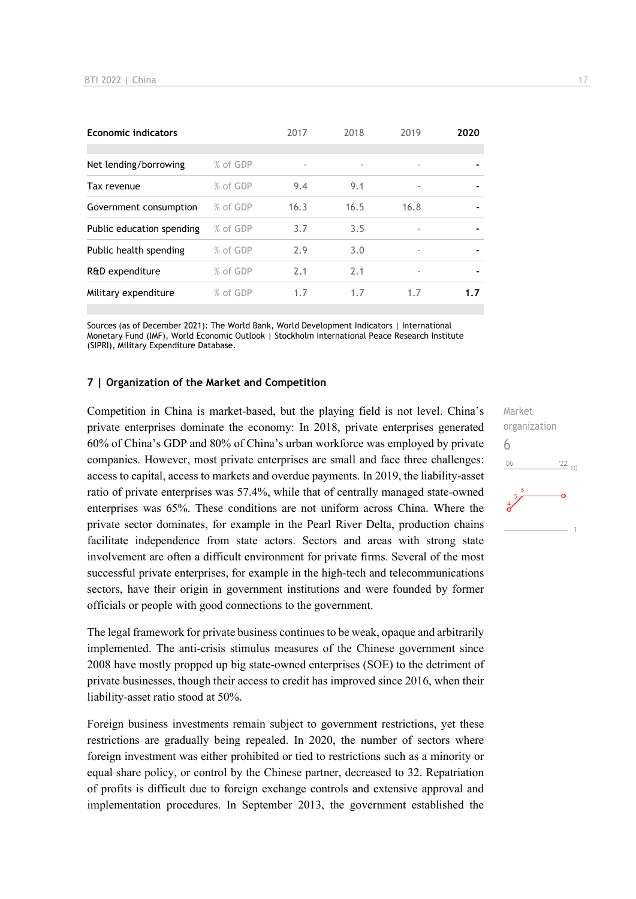| <b>Economic indicators</b> |          | 2017 | 2018 | 2019 | 2020           |
|----------------------------|----------|------|------|------|----------------|
|                            |          |      |      |      |                |
| Net lending/borrowing      | % of GDP | ٠    |      | ٠    |                |
| Tax revenue                | % of GDP | 9.4  | 9.1  | ٠    | $\blacksquare$ |
| Government consumption     | % of GDP | 16.3 | 16.5 | 16.8 |                |
| Public education spending  | % of GDP | 3.7  | 3.5  | ٠    |                |
| Public health spending     | % of GDP | 2.9  | 3.0  | ٠    |                |
| R&D expenditure            | % of GDP | 2.1  | 2.1  | ٠    |                |
| Military expenditure       | % of GDP | 1.7  | 1.7  | 1.7  | 1.7            |

Sources (as of December 2021): The World Bank, World Development Indicators | International Monetary Fund (IMF), World Economic Outlook | Stockholm International Peace Research Institute (SIPRI), Military Expenditure Database.

#### **7 | Organization of the Market and Competition**

Competition in China is market-based, but the playing field is not level. China's private enterprises dominate the economy: In 2018, private enterprises generated 60% of China's GDP and 80% of China's urban workforce was employed by private companies. However, most private enterprises are small and face three challenges: access to capital, access to markets and overdue payments. In 2019, the liability-asset ratio of private enterprises was 57.4%, while that of centrally managed state-owned enterprises was 65%. These conditions are not uniform across China. Where the private sector dominates, for example in the Pearl River Delta, production chains facilitate independence from state actors. Sectors and areas with strong state involvement are often a difficult environment for private firms. Several of the most successful private enterprises, for example in the high-tech and telecommunications sectors, have their origin in government institutions and were founded by former officials or people with good connections to the government.

The legal framework for private business continues to be weak, opaque and arbitrarily implemented. The anti-crisis stimulus measures of the Chinese government since 2008 have mostly propped up big state-owned enterprises (SOE) to the detriment of private businesses, though their access to credit has improved since 2016, when their liability-asset ratio stood at 50%.

Foreign business investments remain subject to government restrictions, yet these restrictions are gradually being repealed. In 2020, the number of sectors where foreign investment was either prohibited or tied to restrictions such as a minority or equal share policy, or control by the Chinese partner, decreased to 32. Repatriation of profits is difficult due to foreign exchange controls and extensive approval and implementation procedures. In September 2013, the government established the

Market organization 6 $-06$  $\frac{22}{10}$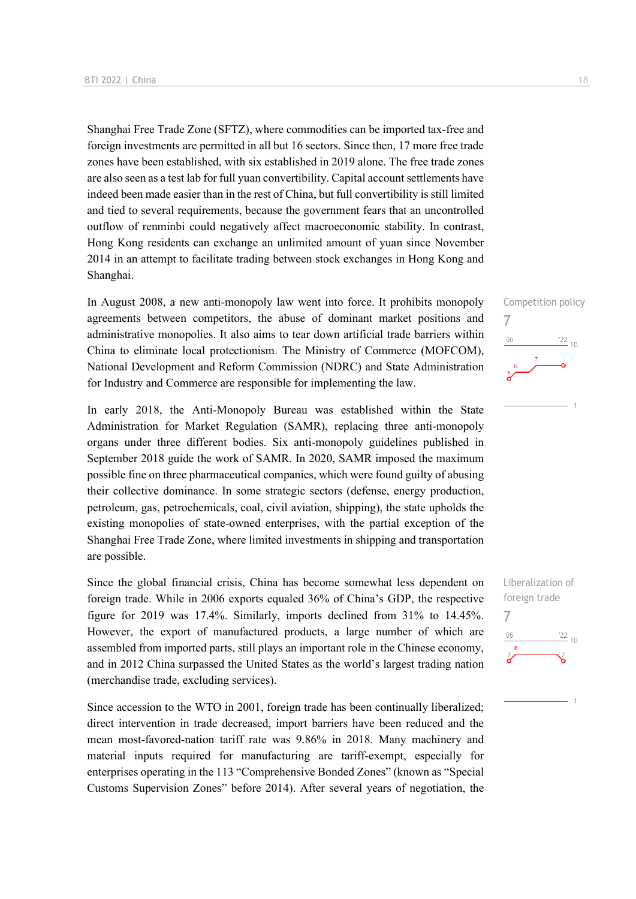Shanghai Free Trade Zone (SFTZ), where commodities can be imported tax-free and foreign investments are permitted in all but 16 sectors. Since then, 17 more free trade zones have been established, with six established in 2019 alone. The free trade zones are also seen as a test lab for full yuan convertibility. Capital account settlements have indeed been made easier than in the rest of China, but full convertibility is still limited and tied to several requirements, because the government fears that an uncontrolled outflow of renminbi could negatively affect macroeconomic stability. In contrast, Hong Kong residents can exchange an unlimited amount of yuan since November 2014 in an attempt to facilitate trading between stock exchanges in Hong Kong and Shanghai.

In August 2008, a new anti-monopoly law went into force. It prohibits monopoly agreements between competitors, the abuse of dominant market positions and administrative monopolies. It also aims to tear down artificial trade barriers within China to eliminate local protectionism. The Ministry of Commerce (MOFCOM), National Development and Reform Commission (NDRC) and State Administration for Industry and Commerce are responsible for implementing the law.

In early 2018, the Anti-Monopoly Bureau was established within the State Administration for Market Regulation (SAMR), replacing three anti-monopoly organs under three different bodies. Six anti-monopoly guidelines published in September 2018 guide the work of SAMR. In 2020, SAMR imposed the maximum possible fine on three pharmaceutical companies, which were found guilty of abusing their collective dominance. In some strategic sectors (defense, energy production, petroleum, gas, petrochemicals, coal, civil aviation, shipping), the state upholds the existing monopolies of state-owned enterprises, with the partial exception of the Shanghai Free Trade Zone, where limited investments in shipping and transportation are possible.

Since the global financial crisis, China has become somewhat less dependent on foreign trade. While in 2006 exports equaled 36% of China's GDP, the respective figure for 2019 was 17.4%. Similarly, imports declined from 31% to 14.45%. However, the export of manufactured products, a large number of which are assembled from imported parts, still plays an important role in the Chinese economy, and in 2012 China surpassed the United States as the world's largest trading nation (merchandise trade, excluding services).

Since accession to the WTO in 2001, foreign trade has been continually liberalized; direct intervention in trade decreased, import barriers have been reduced and the mean most-favored-nation tariff rate was 9.86% in 2018. Many machinery and material inputs required for manufacturing are tariff-exempt, especially for enterprises operating in the 113 "Comprehensive Bonded Zones" (known as "Special Customs Supervision Zones" before 2014). After several years of negotiation, the Competition policy 7  $106$  $\frac{22}{10}$ 

Liberalization of foreign trade 7 $-06$  $\frac{22}{10}$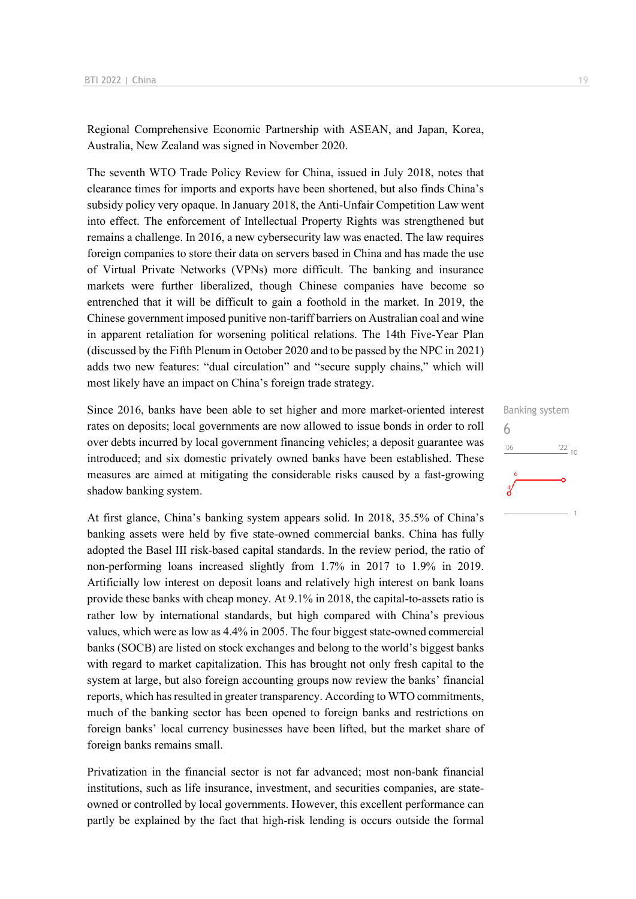Regional Comprehensive Economic Partnership with ASEAN, and Japan, Korea, Australia, New Zealand was signed in November 2020.

The seventh WTO Trade Policy Review for China, issued in July 2018, notes that clearance times for imports and exports have been shortened, but also finds China's subsidy policy very opaque. In January 2018, the Anti-Unfair Competition Law went into effect. The enforcement of Intellectual Property Rights was strengthened but remains a challenge. In 2016, a new cybersecurity law was enacted. The law requires foreign companies to store their data on servers based in China and has made the use of Virtual Private Networks (VPNs) more difficult. The banking and insurance markets were further liberalized, though Chinese companies have become so entrenched that it will be difficult to gain a foothold in the market. In 2019, the Chinese government imposed punitive non-tariff barriers on Australian coal and wine in apparent retaliation for worsening political relations. The 14th Five-Year Plan (discussed by the Fifth Plenum in October 2020 and to be passed by the NPC in 2021) adds two new features: "dual circulation" and "secure supply chains," which will most likely have an impact on China's foreign trade strategy.

Since 2016, banks have been able to set higher and more market-oriented interest rates on deposits; local governments are now allowed to issue bonds in order to roll over debts incurred by local government financing vehicles; a deposit guarantee was introduced; and six domestic privately owned banks have been established. These measures are aimed at mitigating the considerable risks caused by a fast-growing shadow banking system.

At first glance, China's banking system appears solid. In 2018, 35.5% of China's banking assets were held by five state-owned commercial banks. China has fully adopted the Basel III risk-based capital standards. In the review period, the ratio of non-performing loans increased slightly from 1.7% in 2017 to 1.9% in 2019. Artificially low interest on deposit loans and relatively high interest on bank loans provide these banks with cheap money. At 9.1% in 2018, the capital-to-assets ratio is rather low by international standards, but high compared with China's previous values, which were as low as 4.4% in 2005. The four biggest state-owned commercial banks (SOCB) are listed on stock exchanges and belong to the world's biggest banks with regard to market capitalization. This has brought not only fresh capital to the system at large, but also foreign accounting groups now review the banks' financial reports, which has resulted in greater transparency. According to WTO commitments, much of the banking sector has been opened to foreign banks and restrictions on foreign banks' local currency businesses have been lifted, but the market share of foreign banks remains small.

Privatization in the financial sector is not far advanced; most non-bank financial institutions, such as life insurance, investment, and securities companies, are stateowned or controlled by local governments. However, this excellent performance can partly be explained by the fact that high-risk lending is occurs outside the formal

![](_page_18_Figure_6.jpeg)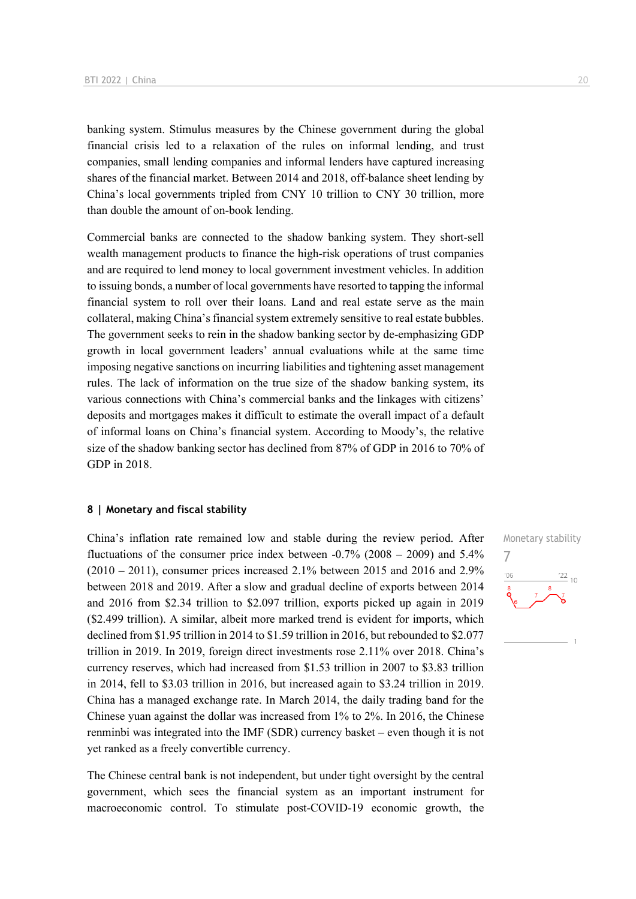banking system. Stimulus measures by the Chinese government during the global financial crisis led to a relaxation of the rules on informal lending, and trust companies, small lending companies and informal lenders have captured increasing shares of the financial market. Between 2014 and 2018, off-balance sheet lending by China's local governments tripled from CNY 10 trillion to CNY 30 trillion, more than double the amount of on-book lending.

Commercial banks are connected to the shadow banking system. They short-sell wealth management products to finance the high-risk operations of trust companies and are required to lend money to local government investment vehicles. In addition to issuing bonds, a number of local governments have resorted to tapping the informal financial system to roll over their loans. Land and real estate serve as the main collateral, making China's financial system extremely sensitive to real estate bubbles. The government seeks to rein in the shadow banking sector by de-emphasizing GDP growth in local government leaders' annual evaluations while at the same time imposing negative sanctions on incurring liabilities and tightening asset management rules. The lack of information on the true size of the shadow banking system, its various connections with China's commercial banks and the linkages with citizens' deposits and mortgages makes it difficult to estimate the overall impact of a default of informal loans on China's financial system. According to Moody's, the relative size of the shadow banking sector has declined from 87% of GDP in 2016 to 70% of GDP in 2018.

#### **8 | Monetary and fiscal stability**

China's inflation rate remained low and stable during the review period. After fluctuations of the consumer price index between -0.7% (2008 – 2009) and 5.4%  $(2010 - 2011)$ , consumer prices increased 2.1% between 2015 and 2016 and 2.9% between 2018 and 2019. After a slow and gradual decline of exports between 2014 and 2016 from \$2.34 trillion to \$2.097 trillion, exports picked up again in 2019 (\$2.499 trillion). A similar, albeit more marked trend is evident for imports, which declined from \$1.95 trillion in 2014 to \$1.59 trillion in 2016, but rebounded to \$2.077 trillion in 2019. In 2019, foreign direct investments rose 2.11% over 2018. China's currency reserves, which had increased from \$1.53 trillion in 2007 to \$3.83 trillion in 2014, fell to \$3.03 trillion in 2016, but increased again to \$3.24 trillion in 2019. China has a managed exchange rate. In March 2014, the daily trading band for the Chinese yuan against the dollar was increased from 1% to 2%. In 2016, the Chinese renminbi was integrated into the IMF (SDR) currency basket – even though it is not yet ranked as a freely convertible currency.

The Chinese central bank is not independent, but under tight oversight by the central government, which sees the financial system as an important instrument for macroeconomic control. To stimulate post-COVID-19 economic growth, the Monetary stability 7 $\frac{22}{10}$  $'06$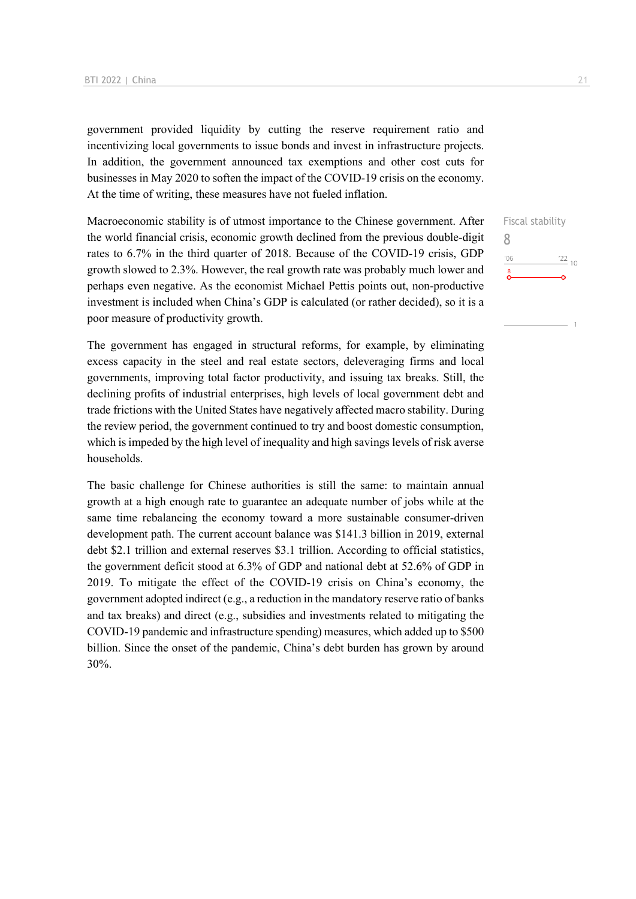government provided liquidity by cutting the reserve requirement ratio and incentivizing local governments to issue bonds and invest in infrastructure projects. In addition, the government announced tax exemptions and other cost cuts for businesses in May 2020 to soften the impact of the COVID-19 crisis on the economy. At the time of writing, these measures have not fueled inflation.

Macroeconomic stability is of utmost importance to the Chinese government. After the world financial crisis, economic growth declined from the previous double-digit rates to 6.7% in the third quarter of 2018. Because of the COVID-19 crisis, GDP growth slowed to 2.3%. However, the real growth rate was probably much lower and perhaps even negative. As the economist Michael Pettis points out, non-productive investment is included when China's GDP is calculated (or rather decided), so it is a poor measure of productivity growth.

The government has engaged in structural reforms, for example, by eliminating excess capacity in the steel and real estate sectors, deleveraging firms and local governments, improving total factor productivity, and issuing tax breaks. Still, the declining profits of industrial enterprises, high levels of local government debt and trade frictions with the United States have negatively affected macro stability. During the review period, the government continued to try and boost domestic consumption, which is impeded by the high level of inequality and high savings levels of risk averse households.

The basic challenge for Chinese authorities is still the same: to maintain annual growth at a high enough rate to guarantee an adequate number of jobs while at the same time rebalancing the economy toward a more sustainable consumer-driven development path. The current account balance was \$141.3 billion in 2019, external debt \$2.1 trillion and external reserves \$3.1 trillion. According to official statistics, the government deficit stood at 6.3% of GDP and national debt at 52.6% of GDP in 2019. To mitigate the effect of the COVID-19 crisis on China's economy, the government adopted indirect (e.g., a reduction in the mandatory reserve ratio of banks and tax breaks) and direct (e.g., subsidies and investments related to mitigating the COVID-19 pandemic and infrastructure spending) measures, which added up to \$500 billion. Since the onset of the pandemic, China's debt burden has grown by around 30%.

Fiscal stability 8 $\frac{22}{10}$  $^{\prime}06$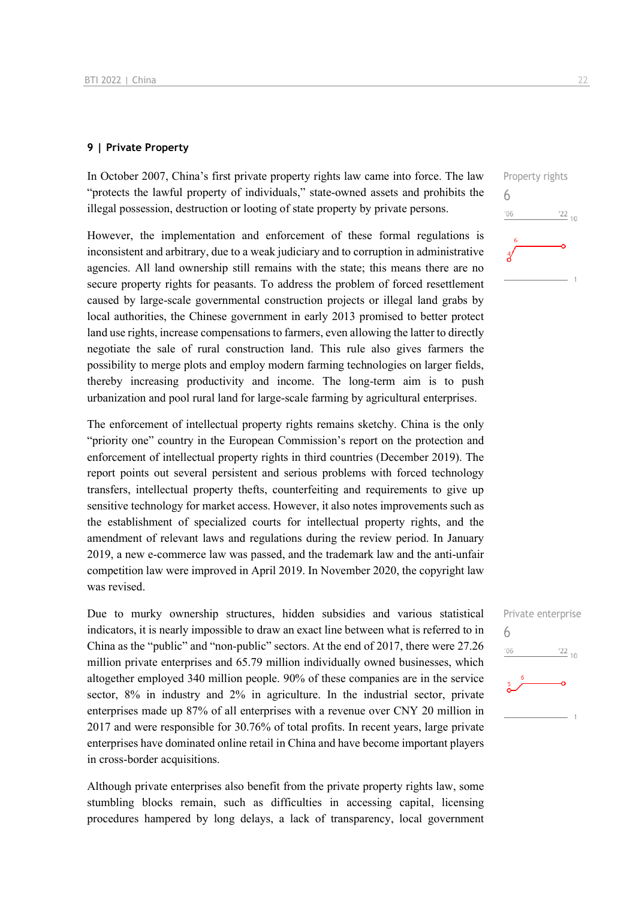#### **9 | Private Property**

In October 2007, China's first private property rights law came into force. The law "protects the lawful property of individuals," state-owned assets and prohibits the illegal possession, destruction or looting of state property by private persons.

However, the implementation and enforcement of these formal regulations is inconsistent and arbitrary, due to a weak judiciary and to corruption in administrative agencies. All land ownership still remains with the state; this means there are no secure property rights for peasants. To address the problem of forced resettlement caused by large-scale governmental construction projects or illegal land grabs by local authorities, the Chinese government in early 2013 promised to better protect land use rights, increase compensations to farmers, even allowing the latter to directly negotiate the sale of rural construction land. This rule also gives farmers the possibility to merge plots and employ modern farming technologies on larger fields, thereby increasing productivity and income. The long-term aim is to push urbanization and pool rural land for large-scale farming by agricultural enterprises.

The enforcement of intellectual property rights remains sketchy. China is the only "priority one" country in the European Commission's report on the protection and enforcement of intellectual property rights in third countries (December 2019). The report points out several persistent and serious problems with forced technology transfers, intellectual property thefts, counterfeiting and requirements to give up sensitive technology for market access. However, it also notes improvements such as the establishment of specialized courts for intellectual property rights, and the amendment of relevant laws and regulations during the review period. In January 2019, a new e-commerce law was passed, and the trademark law and the anti-unfair competition law were improved in April 2019. In November 2020, the copyright law was revised.

Due to murky ownership structures, hidden subsidies and various statistical indicators, it is nearly impossible to draw an exact line between what is referred to in China as the "public" and "non-public" sectors. At the end of 2017, there were 27.26 million private enterprises and 65.79 million individually owned businesses, which altogether employed 340 million people. 90% of these companies are in the service sector, 8% in industry and 2% in agriculture. In the industrial sector, private enterprises made up 87% of all enterprises with a revenue over CNY 20 million in 2017 and were responsible for 30.76% of total profits. In recent years, large private enterprises have dominated online retail in China and have become important players in cross-border acquisitions.

Although private enterprises also benefit from the private property rights law, some stumbling blocks remain, such as difficulties in accessing capital, licensing procedures hampered by long delays, a lack of transparency, local government

![](_page_21_Figure_7.jpeg)

![](_page_21_Figure_8.jpeg)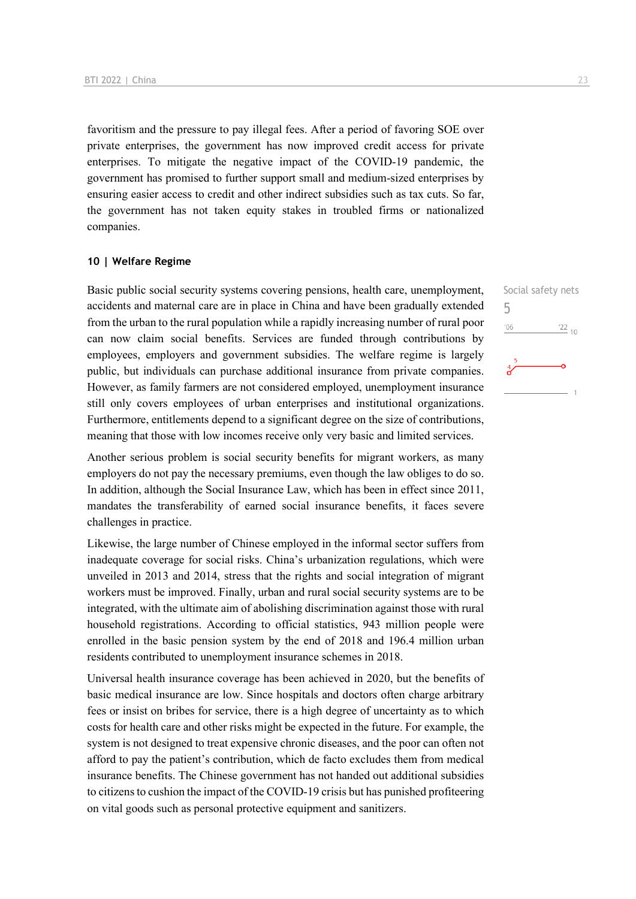favoritism and the pressure to pay illegal fees. After a period of favoring SOE over private enterprises, the government has now improved credit access for private enterprises. To mitigate the negative impact of the COVID-19 pandemic, the government has promised to further support small and medium-sized enterprises by ensuring easier access to credit and other indirect subsidies such as tax cuts. So far, the government has not taken equity stakes in troubled firms or nationalized companies.

#### **10 | Welfare Regime**

Basic public social security systems covering pensions, health care, unemployment, accidents and maternal care are in place in China and have been gradually extended from the urban to the rural population while a rapidly increasing number of rural poor can now claim social benefits. Services are funded through contributions by employees, employers and government subsidies. The welfare regime is largely public, but individuals can purchase additional insurance from private companies. However, as family farmers are not considered employed, unemployment insurance still only covers employees of urban enterprises and institutional organizations. Furthermore, entitlements depend to a significant degree on the size of contributions, meaning that those with low incomes receive only very basic and limited services.

Another serious problem is social security benefits for migrant workers, as many employers do not pay the necessary premiums, even though the law obliges to do so. In addition, although the Social Insurance Law, which has been in effect since 2011, mandates the transferability of earned social insurance benefits, it faces severe challenges in practice.

Likewise, the large number of Chinese employed in the informal sector suffers from inadequate coverage for social risks. China's urbanization regulations, which were unveiled in 2013 and 2014, stress that the rights and social integration of migrant workers must be improved. Finally, urban and rural social security systems are to be integrated, with the ultimate aim of abolishing discrimination against those with rural household registrations. According to official statistics, 943 million people were enrolled in the basic pension system by the end of 2018 and 196.4 million urban residents contributed to unemployment insurance schemes in 2018.

Universal health insurance coverage has been achieved in 2020, but the benefits of basic medical insurance are low. Since hospitals and doctors often charge arbitrary fees or insist on bribes for service, there is a high degree of uncertainty as to which costs for health care and other risks might be expected in the future. For example, the system is not designed to treat expensive chronic diseases, and the poor can often not afford to pay the patient's contribution, which de facto excludes them from medical insurance benefits. The Chinese government has not handed out additional subsidies to citizens to cushion the impact of the COVID-19 crisis but has punished profiteering on vital goods such as personal protective equipment and sanitizers.

Social safety nets

 $\frac{22}{10}$ 

5

 $'06$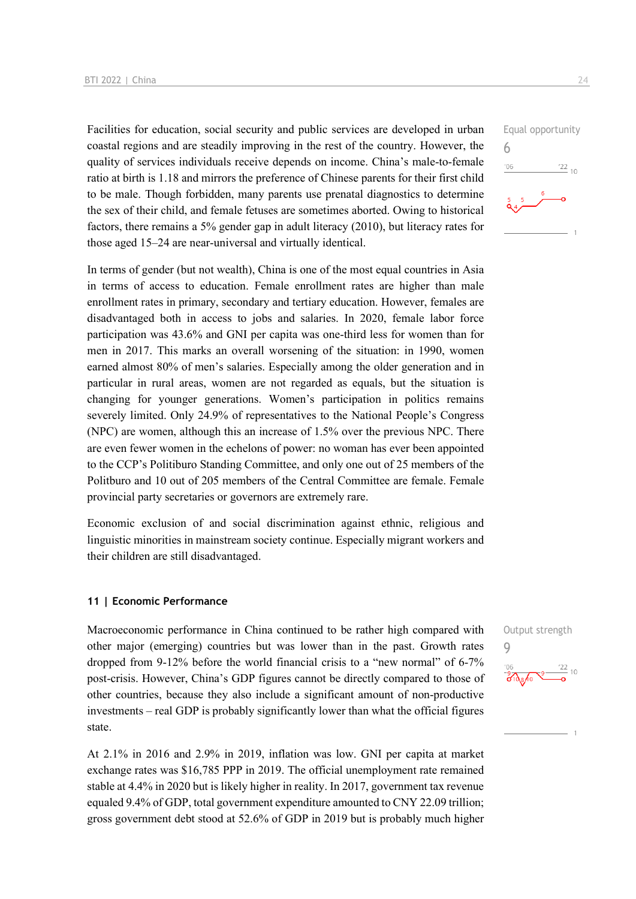Facilities for education, social security and public services are developed in urban coastal regions and are steadily improving in the rest of the country. However, the quality of services individuals receive depends on income. China's male-to-female ratio at birth is 1.18 and mirrors the preference of Chinese parents for their first child to be male. Though forbidden, many parents use prenatal diagnostics to determine the sex of their child, and female fetuses are sometimes aborted. Owing to historical factors, there remains a 5% gender gap in adult literacy (2010), but literacy rates for those aged 15–24 are near-universal and virtually identical.

In terms of gender (but not wealth), China is one of the most equal countries in Asia in terms of access to education. Female enrollment rates are higher than male enrollment rates in primary, secondary and tertiary education. However, females are disadvantaged both in access to jobs and salaries. In 2020, female labor force participation was 43.6% and GNI per capita was one-third less for women than for men in 2017. This marks an overall worsening of the situation: in 1990, women earned almost 80% of men's salaries. Especially among the older generation and in particular in rural areas, women are not regarded as equals, but the situation is changing for younger generations. Women's participation in politics remains severely limited. Only 24.9% of representatives to the National People's Congress (NPC) are women, although this an increase of 1.5% over the previous NPC. There are even fewer women in the echelons of power: no woman has ever been appointed to the CCP's Politiburo Standing Committee, and only one out of 25 members of the Politburo and 10 out of 205 members of the Central Committee are female. Female provincial party secretaries or governors are extremely rare.

Economic exclusion of and social discrimination against ethnic, religious and linguistic minorities in mainstream society continue. Especially migrant workers and their children are still disadvantaged.

#### **11 | Economic Performance**

Macroeconomic performance in China continued to be rather high compared with other major (emerging) countries but was lower than in the past. Growth rates dropped from 9-12% before the world financial crisis to a "new normal" of 6-7% post-crisis. However, China's GDP figures cannot be directly compared to those of other countries, because they also include a significant amount of non-productive investments – real GDP is probably significantly lower than what the official figures state.

At 2.1% in 2016 and 2.9% in 2019, inflation was low. GNI per capita at market exchange rates was \$16,785 PPP in 2019. The official unemployment rate remained stable at 4.4% in 2020 but is likely higher in reality. In 2017, government tax revenue equaled 9.4% of GDP, total government expenditure amounted to CNY 22.09 trillion; gross government debt stood at 52.6% of GDP in 2019 but is probably much higher

![](_page_23_Figure_7.jpeg)

![](_page_23_Figure_8.jpeg)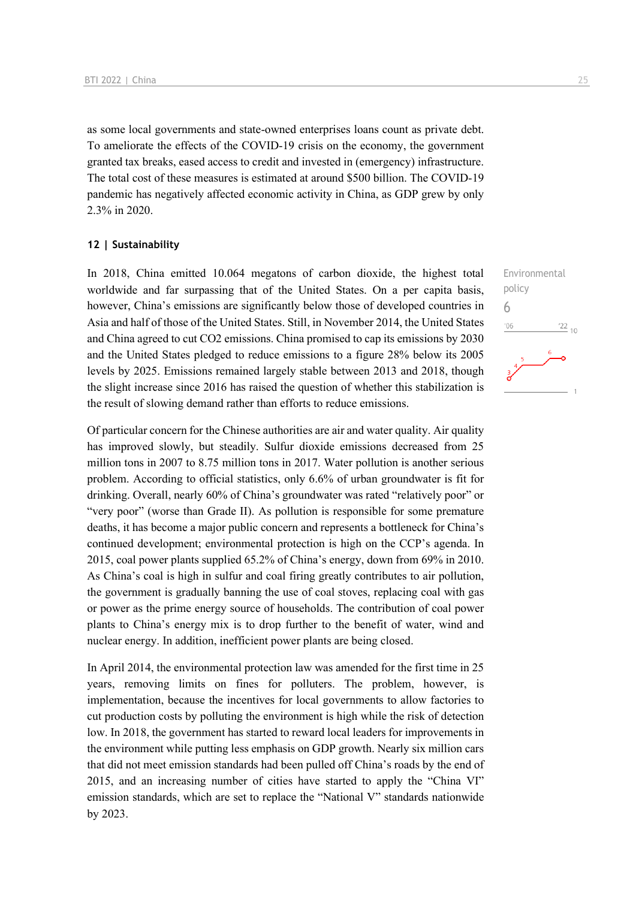as some local governments and state-owned enterprises loans count as private debt. To ameliorate the effects of the COVID-19 crisis on the economy, the government granted tax breaks, eased access to credit and invested in (emergency) infrastructure. The total cost of these measures is estimated at around \$500 billion. The COVID-19 pandemic has negatively affected economic activity in China, as GDP grew by only 2.3% in 2020.

#### **12 | Sustainability**

In 2018, China emitted 10.064 megatons of carbon dioxide, the highest total worldwide and far surpassing that of the United States. On a per capita basis, however, China's emissions are significantly below those of developed countries in Asia and half of those of the United States. Still, in November 2014, the United States and China agreed to cut CO2 emissions. China promised to cap its emissions by 2030 and the United States pledged to reduce emissions to a figure 28% below its 2005 levels by 2025. Emissions remained largely stable between 2013 and 2018, though the slight increase since 2016 has raised the question of whether this stabilization is the result of slowing demand rather than efforts to reduce emissions.

Of particular concern for the Chinese authorities are air and water quality. Air quality has improved slowly, but steadily. Sulfur dioxide emissions decreased from 25 million tons in 2007 to 8.75 million tons in 2017. Water pollution is another serious problem. According to official statistics, only 6.6% of urban groundwater is fit for drinking. Overall, nearly 60% of China's groundwater was rated "relatively poor" or "very poor" (worse than Grade II). As pollution is responsible for some premature deaths, it has become a major public concern and represents a bottleneck for China's continued development; environmental protection is high on the CCP's agenda. In 2015, coal power plants supplied 65.2% of China's energy, down from 69% in 2010. As China's coal is high in sulfur and coal firing greatly contributes to air pollution, the government is gradually banning the use of coal stoves, replacing coal with gas or power as the prime energy source of households. The contribution of coal power plants to China's energy mix is to drop further to the benefit of water, wind and nuclear energy. In addition, inefficient power plants are being closed.

In April 2014, the environmental protection law was amended for the first time in 25 years, removing limits on fines for polluters. The problem, however, is implementation, because the incentives for local governments to allow factories to cut production costs by polluting the environment is high while the risk of detection low. In 2018, the government has started to reward local leaders for improvements in the environment while putting less emphasis on GDP growth. Nearly six million cars that did not meet emission standards had been pulled off China's roads by the end of 2015, and an increasing number of cities have started to apply the "China VI" emission standards, which are set to replace the "National V" standards nationwide by 2023.

![](_page_24_Figure_6.jpeg)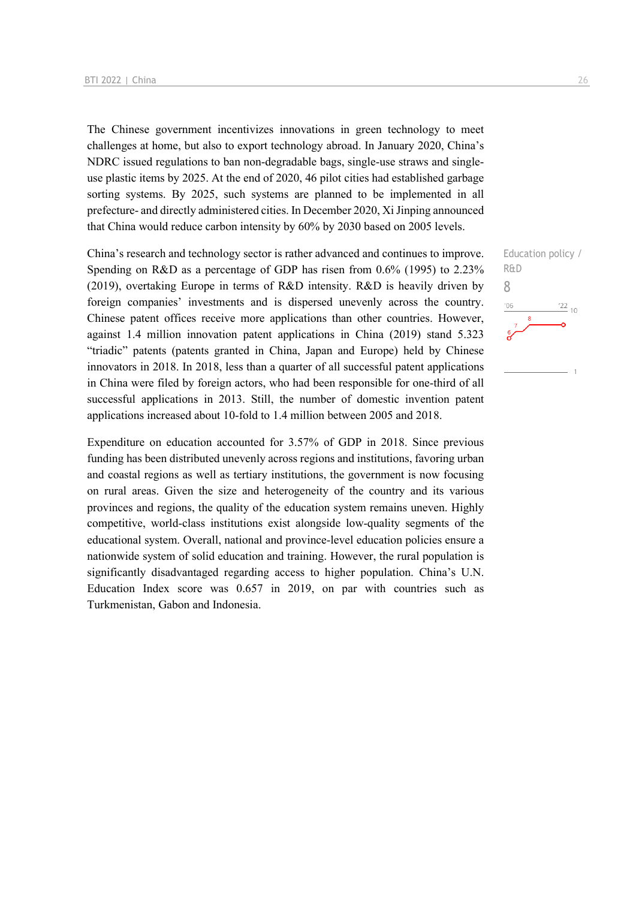The Chinese government incentivizes innovations in green technology to meet challenges at home, but also to export technology abroad. In January 2020, China's NDRC issued regulations to ban non-degradable bags, single-use straws and singleuse plastic items by 2025. At the end of 2020, 46 pilot cities had established garbage sorting systems. By 2025, such systems are planned to be implemented in all prefecture- and directly administered cities. In December 2020, Xi Jinping announced that China would reduce carbon intensity by 60% by 2030 based on 2005 levels.

China's research and technology sector is rather advanced and continues to improve. Spending on R&D as a percentage of GDP has risen from 0.6% (1995) to 2.23% (2019), overtaking Europe in terms of R&D intensity. R&D is heavily driven by foreign companies' investments and is dispersed unevenly across the country. Chinese patent offices receive more applications than other countries. However, against 1.4 million innovation patent applications in China (2019) stand 5.323 "triadic" patents (patents granted in China, Japan and Europe) held by Chinese innovators in 2018. In 2018, less than a quarter of all successful patent applications in China were filed by foreign actors, who had been responsible for one-third of all successful applications in 2013. Still, the number of domestic invention patent applications increased about 10-fold to 1.4 million between 2005 and 2018.

Expenditure on education accounted for 3.57% of GDP in 2018. Since previous funding has been distributed unevenly across regions and institutions, favoring urban and coastal regions as well as tertiary institutions, the government is now focusing on rural areas. Given the size and heterogeneity of the country and its various provinces and regions, the quality of the education system remains uneven. Highly competitive, world-class institutions exist alongside low-quality segments of the educational system. Overall, national and province-level education policies ensure a nationwide system of solid education and training. However, the rural population is significantly disadvantaged regarding access to higher population. China's U.N. Education Index score was 0.657 in 2019, on par with countries such as Turkmenistan, Gabon and Indonesia.

![](_page_25_Figure_4.jpeg)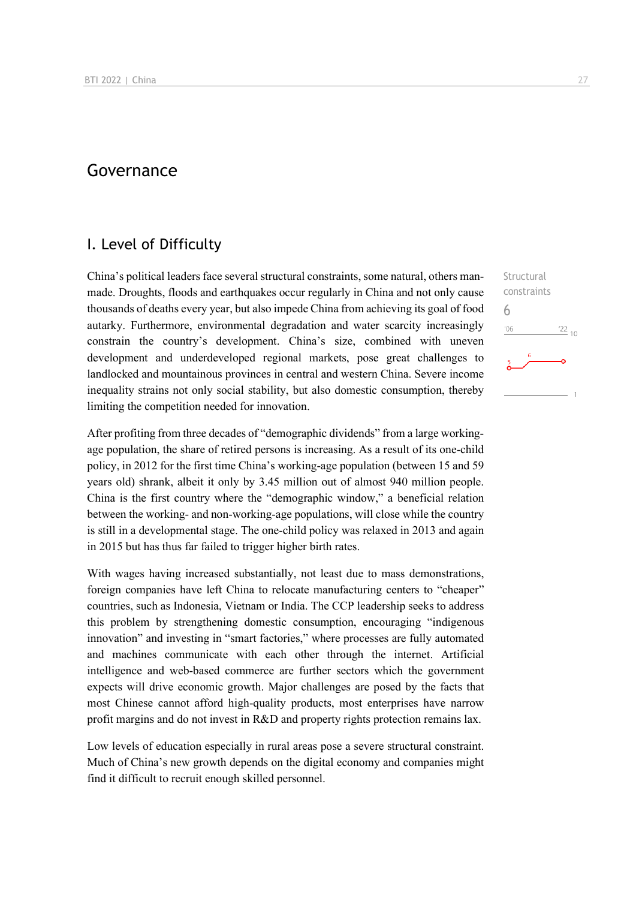## Governance

### I. Level of Difficulty

China's political leaders face several structural constraints, some natural, others manmade. Droughts, floods and earthquakes occur regularly in China and not only cause thousands of deaths every year, but also impede China from achieving its goal of food autarky. Furthermore, environmental degradation and water scarcity increasingly constrain the country's development. China's size, combined with uneven development and underdeveloped regional markets, pose great challenges to landlocked and mountainous provinces in central and western China. Severe income inequality strains not only social stability, but also domestic consumption, thereby limiting the competition needed for innovation.

After profiting from three decades of "demographic dividends" from a large workingage population, the share of retired persons is increasing. As a result of its one-child policy, in 2012 for the first time China's working-age population (between 15 and 59 years old) shrank, albeit it only by 3.45 million out of almost 940 million people. China is the first country where the "demographic window," a beneficial relation between the working- and non-working-age populations, will close while the country is still in a developmental stage. The one-child policy was relaxed in 2013 and again in 2015 but has thus far failed to trigger higher birth rates.

With wages having increased substantially, not least due to mass demonstrations, foreign companies have left China to relocate manufacturing centers to "cheaper" countries, such as Indonesia, Vietnam or India. The CCP leadership seeks to address this problem by strengthening domestic consumption, encouraging "indigenous innovation" and investing in "smart factories," where processes are fully automated and machines communicate with each other through the internet. Artificial intelligence and web-based commerce are further sectors which the government expects will drive economic growth. Major challenges are posed by the facts that most Chinese cannot afford high-quality products, most enterprises have narrow profit margins and do not invest in R&D and property rights protection remains lax.

Low levels of education especially in rural areas pose a severe structural constraint. Much of China's new growth depends on the digital economy and companies might find it difficult to recruit enough skilled personnel.

**Structural** constraints 6 $106$  $^{22}$  10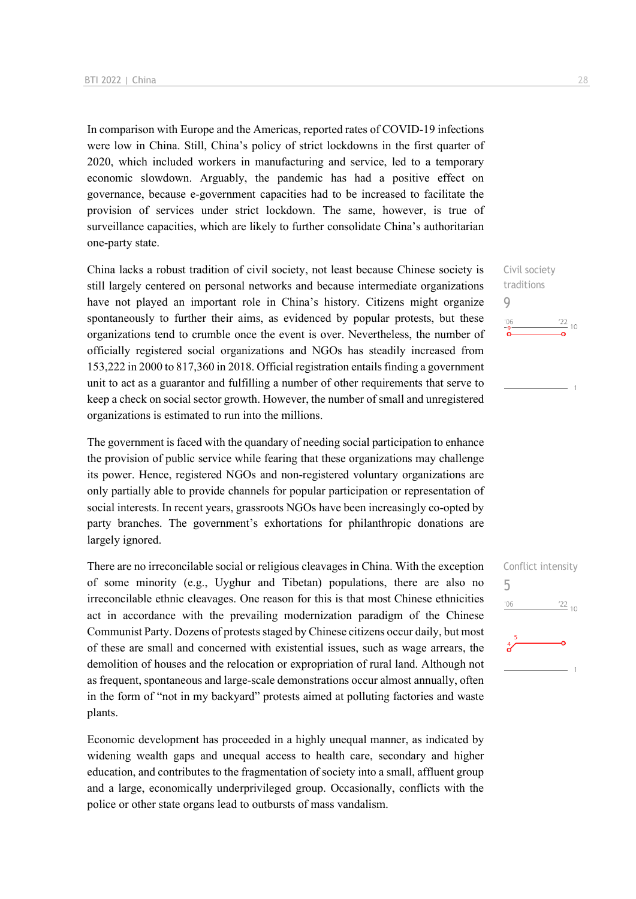In comparison with Europe and the Americas, reported rates of COVID-19 infections were low in China. Still, China's policy of strict lockdowns in the first quarter of 2020, which included workers in manufacturing and service, led to a temporary economic slowdown. Arguably, the pandemic has had a positive effect on governance, because e-government capacities had to be increased to facilitate the provision of services under strict lockdown. The same, however, is true of surveillance capacities, which are likely to further consolidate China's authoritarian one-party state.

China lacks a robust tradition of civil society, not least because Chinese society is still largely centered on personal networks and because intermediate organizations have not played an important role in China's history. Citizens might organize spontaneously to further their aims, as evidenced by popular protests, but these organizations tend to crumble once the event is over. Nevertheless, the number of officially registered social organizations and NGOs has steadily increased from 153,222 in 2000 to 817,360 in 2018. Official registration entails finding a government unit to act as a guarantor and fulfilling a number of other requirements that serve to keep a check on social sector growth. However, the number of small and unregistered organizations is estimated to run into the millions.

The government is faced with the quandary of needing social participation to enhance the provision of public service while fearing that these organizations may challenge its power. Hence, registered NGOs and non-registered voluntary organizations are only partially able to provide channels for popular participation or representation of social interests. In recent years, grassroots NGOs have been increasingly co-opted by party branches. The government's exhortations for philanthropic donations are largely ignored.

There are no irreconcilable social or religious cleavages in China. With the exception of some minority (e.g., Uyghur and Tibetan) populations, there are also no irreconcilable ethnic cleavages. One reason for this is that most Chinese ethnicities act in accordance with the prevailing modernization paradigm of the Chinese Communist Party. Dozens of protests staged by Chinese citizens occur daily, but most of these are small and concerned with existential issues, such as wage arrears, the demolition of houses and the relocation or expropriation of rural land. Although not as frequent, spontaneous and large-scale demonstrations occur almost annually, often in the form of "not in my backyard" protests aimed at polluting factories and waste plants.

Economic development has proceeded in a highly unequal manner, as indicated by widening wealth gaps and unequal access to health care, secondary and higher education, and contributes to the fragmentation of society into a small, affluent group and a large, economically underprivileged group. Occasionally, conflicts with the police or other state organs lead to outbursts of mass vandalism.

Civil society traditions  $\frac{22}{10}$ 

9

 $^{\prime}06$ 

![](_page_27_Figure_7.jpeg)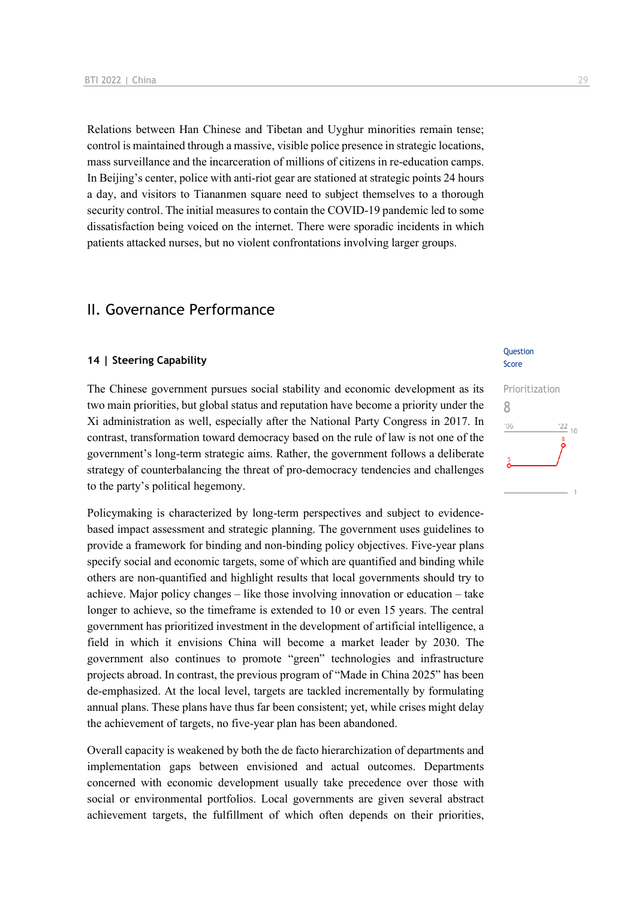Relations between Han Chinese and Tibetan and Uyghur minorities remain tense; control is maintained through a massive, visible police presence in strategic locations, mass surveillance and the incarceration of millions of citizens in re-education camps. In Beijing's center, police with anti-riot gear are stationed at strategic points 24 hours a day, and visitors to Tiananmen square need to subject themselves to a thorough security control. The initial measures to contain the COVID-19 pandemic led to some dissatisfaction being voiced on the internet. There were sporadic incidents in which patients attacked nurses, but no violent confrontations involving larger groups.

## II. Governance Performance

#### **14 | Steering Capability**

The Chinese government pursues social stability and economic development as its two main priorities, but global status and reputation have become a priority under the Xi administration as well, especially after the National Party Congress in 2017. In contrast, transformation toward democracy based on the rule of law is not one of the government's long-term strategic aims. Rather, the government follows a deliberate strategy of counterbalancing the threat of pro-democracy tendencies and challenges to the party's political hegemony.

Policymaking is characterized by long-term perspectives and subject to evidencebased impact assessment and strategic planning. The government uses guidelines to provide a framework for binding and non-binding policy objectives. Five-year plans specify social and economic targets, some of which are quantified and binding while others are non-quantified and highlight results that local governments should try to achieve. Major policy changes – like those involving innovation or education – take longer to achieve, so the timeframe is extended to 10 or even 15 years. The central government has prioritized investment in the development of artificial intelligence, a field in which it envisions China will become a market leader by 2030. The government also continues to promote "green" technologies and infrastructure projects abroad. In contrast, the previous program of "Made in China 2025" has been de-emphasized. At the local level, targets are tackled incrementally by formulating annual plans. These plans have thus far been consistent; yet, while crises might delay the achievement of targets, no five-year plan has been abandoned.

Overall capacity is weakened by both the de facto hierarchization of departments and implementation gaps between envisioned and actual outcomes. Departments concerned with economic development usually take precedence over those with social or environmental portfolios. Local governments are given several abstract achievement targets, the fulfillment of which often depends on their priorities,

#### **Ouestion** Score

## Prioritization 8 $^{\prime}06$  $'22$  $10$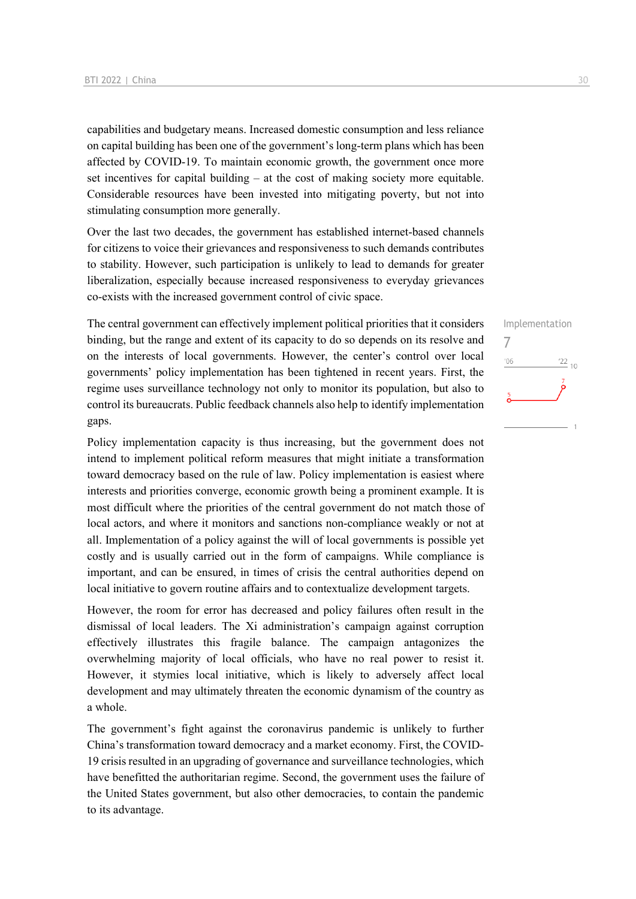capabilities and budgetary means. Increased domestic consumption and less reliance on capital building has been one of the government's long-term plans which has been affected by COVID-19. To maintain economic growth, the government once more set incentives for capital building – at the cost of making society more equitable. Considerable resources have been invested into mitigating poverty, but not into stimulating consumption more generally.

Over the last two decades, the government has established internet-based channels for citizens to voice their grievances and responsiveness to such demands contributes to stability. However, such participation is unlikely to lead to demands for greater liberalization, especially because increased responsiveness to everyday grievances co-exists with the increased government control of civic space.

The central government can effectively implement political priorities that it considers binding, but the range and extent of its capacity to do so depends on its resolve and on the interests of local governments. However, the center's control over local governments' policy implementation has been tightened in recent years. First, the regime uses surveillance technology not only to monitor its population, but also to control its bureaucrats. Public feedback channels also help to identify implementation gaps.

Policy implementation capacity is thus increasing, but the government does not intend to implement political reform measures that might initiate a transformation toward democracy based on the rule of law. Policy implementation is easiest where interests and priorities converge, economic growth being a prominent example. It is most difficult where the priorities of the central government do not match those of local actors, and where it monitors and sanctions non-compliance weakly or not at all. Implementation of a policy against the will of local governments is possible yet costly and is usually carried out in the form of campaigns. While compliance is important, and can be ensured, in times of crisis the central authorities depend on local initiative to govern routine affairs and to contextualize development targets.

However, the room for error has decreased and policy failures often result in the dismissal of local leaders. The Xi administration's campaign against corruption effectively illustrates this fragile balance. The campaign antagonizes the overwhelming majority of local officials, who have no real power to resist it. However, it stymies local initiative, which is likely to adversely affect local development and may ultimately threaten the economic dynamism of the country as a whole.

The government's fight against the coronavirus pandemic is unlikely to further China's transformation toward democracy and a market economy. First, the COVID-19 crisis resulted in an upgrading of governance and surveillance technologies, which have benefitted the authoritarian regime. Second, the government uses the failure of the United States government, but also other democracies, to contain the pandemic to its advantage.

Implementation 7 $-06$  $\frac{22}{10}$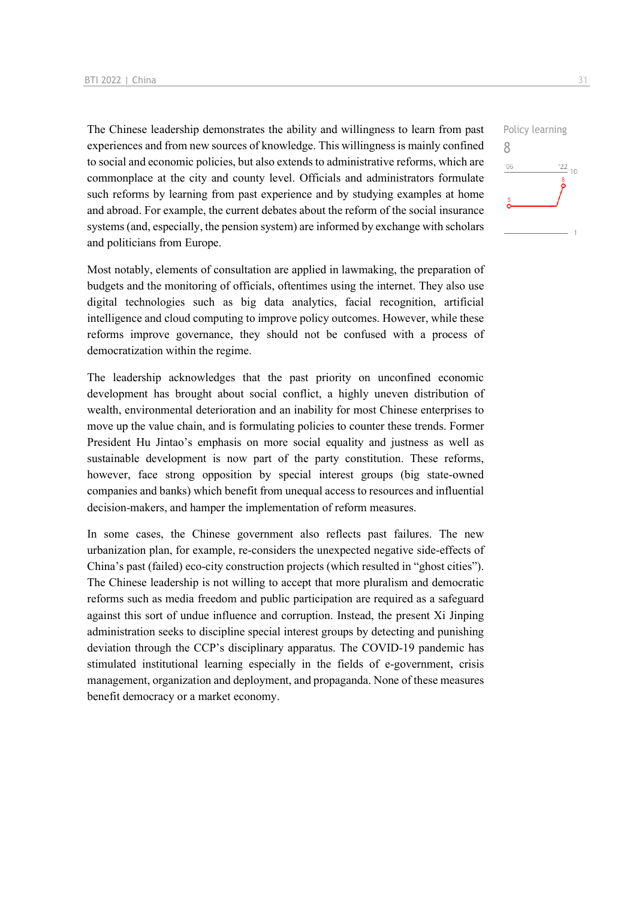The Chinese leadership demonstrates the ability and willingness to learn from past experiences and from new sources of knowledge. This willingness is mainly confined to social and economic policies, but also extends to administrative reforms, which are commonplace at the city and county level. Officials and administrators formulate such reforms by learning from past experience and by studying examples at home and abroad. For example, the current debates about the reform of the social insurance systems (and, especially, the pension system) are informed by exchange with scholars and politicians from Europe.

Most notably, elements of consultation are applied in lawmaking, the preparation of budgets and the monitoring of officials, oftentimes using the internet. They also use digital technologies such as big data analytics, facial recognition, artificial intelligence and cloud computing to improve policy outcomes. However, while these reforms improve governance, they should not be confused with a process of democratization within the regime.

The leadership acknowledges that the past priority on unconfined economic development has brought about social conflict, a highly uneven distribution of wealth, environmental deterioration and an inability for most Chinese enterprises to move up the value chain, and is formulating policies to counter these trends. Former President Hu Jintao's emphasis on more social equality and justness as well as sustainable development is now part of the party constitution. These reforms, however, face strong opposition by special interest groups (big state-owned companies and banks) which benefit from unequal access to resources and influential decision-makers, and hamper the implementation of reform measures.

In some cases, the Chinese government also reflects past failures. The new urbanization plan, for example, re-considers the unexpected negative side-effects of China's past (failed) eco-city construction projects (which resulted in "ghost cities"). The Chinese leadership is not willing to accept that more pluralism and democratic reforms such as media freedom and public participation are required as a safeguard against this sort of undue influence and corruption. Instead, the present Xi Jinping administration seeks to discipline special interest groups by detecting and punishing deviation through the CCP's disciplinary apparatus. The COVID-19 pandemic has stimulated institutional learning especially in the fields of e-government, crisis management, organization and deployment, and propaganda. None of these measures benefit democracy or a market economy.

![](_page_30_Figure_5.jpeg)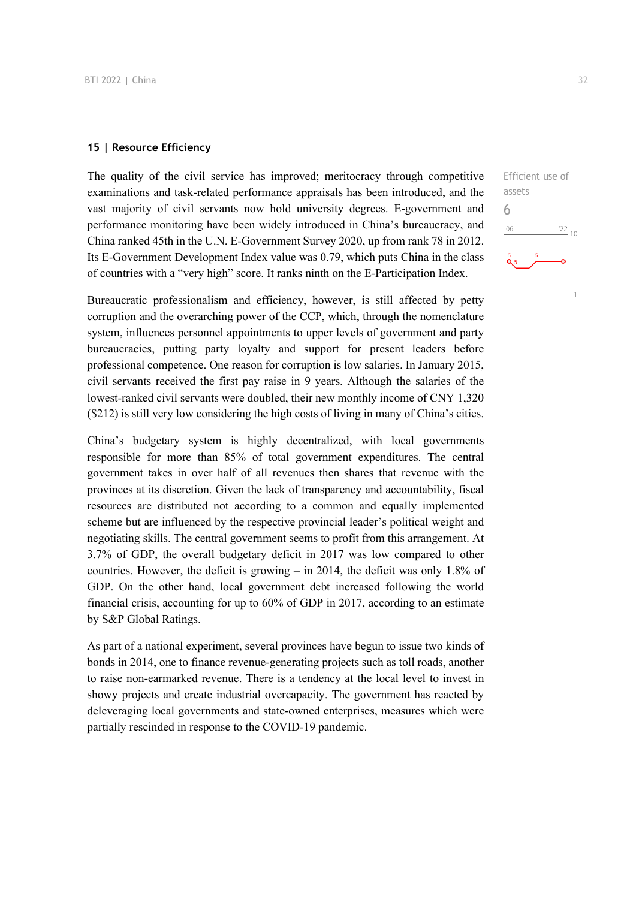#### **15 | Resource Efficiency**

The quality of the civil service has improved; meritocracy through competitive examinations and task-related performance appraisals has been introduced, and the vast majority of civil servants now hold university degrees. E-government and performance monitoring have been widely introduced in China's bureaucracy, and China ranked 45th in the U.N. E-Government Survey 2020, up from rank 78 in 2012. Its E-Government Development Index value was 0.79, which puts China in the class of countries with a "very high" score. It ranks ninth on the E-Participation Index.

Bureaucratic professionalism and efficiency, however, is still affected by petty corruption and the overarching power of the CCP, which, through the nomenclature system, influences personnel appointments to upper levels of government and party bureaucracies, putting party loyalty and support for present leaders before professional competence. One reason for corruption is low salaries. In January 2015, civil servants received the first pay raise in 9 years. Although the salaries of the lowest-ranked civil servants were doubled, their new monthly income of CNY 1,320 (\$212) is still very low considering the high costs of living in many of China's cities.

China's budgetary system is highly decentralized, with local governments responsible for more than 85% of total government expenditures. The central government takes in over half of all revenues then shares that revenue with the provinces at its discretion. Given the lack of transparency and accountability, fiscal resources are distributed not according to a common and equally implemented scheme but are influenced by the respective provincial leader's political weight and negotiating skills. The central government seems to profit from this arrangement. At 3.7% of GDP, the overall budgetary deficit in 2017 was low compared to other countries. However, the deficit is growing – in 2014, the deficit was only 1.8% of GDP. On the other hand, local government debt increased following the world financial crisis, accounting for up to 60% of GDP in 2017, according to an estimate by S&P Global Ratings.

As part of a national experiment, several provinces have begun to issue two kinds of bonds in 2014, one to finance revenue-generating projects such as toll roads, another to raise non-earmarked revenue. There is a tendency at the local level to invest in showy projects and create industrial overcapacity. The government has reacted by deleveraging local governments and state-owned enterprises, measures which were partially rescinded in response to the COVID-19 pandemic.

![](_page_31_Figure_6.jpeg)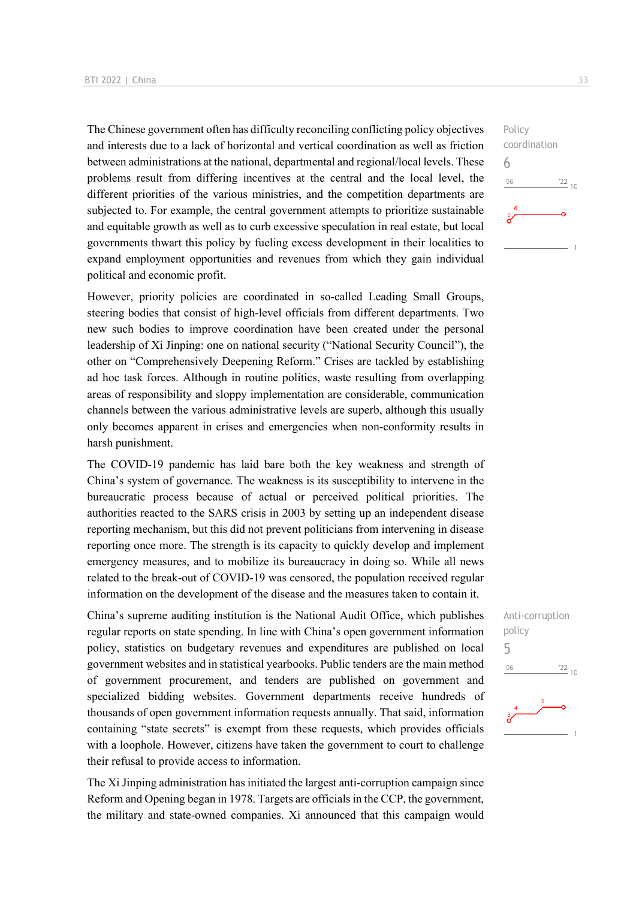The Chinese government often has difficulty reconciling conflicting policy objectives and interests due to a lack of horizontal and vertical coordination as well as friction between administrations at the national, departmental and regional/local levels. These problems result from differing incentives at the central and the local level, the different priorities of the various ministries, and the competition departments are subjected to. For example, the central government attempts to prioritize sustainable and equitable growth as well as to curb excessive speculation in real estate, but local governments thwart this policy by fueling excess development in their localities to expand employment opportunities and revenues from which they gain individual political and economic profit.

However, priority policies are coordinated in so-called Leading Small Groups, steering bodies that consist of high-level officials from different departments. Two new such bodies to improve coordination have been created under the personal leadership of Xi Jinping: one on national security ("National Security Council"), the other on "Comprehensively Deepening Reform." Crises are tackled by establishing ad hoc task forces. Although in routine politics, waste resulting from overlapping areas of responsibility and sloppy implementation are considerable, communication channels between the various administrative levels are superb, although this usually only becomes apparent in crises and emergencies when non-conformity results in harsh punishment.

The COVID-19 pandemic has laid bare both the key weakness and strength of China's system of governance. The weakness is its susceptibility to intervene in the bureaucratic process because of actual or perceived political priorities. The authorities reacted to the SARS crisis in 2003 by setting up an independent disease reporting mechanism, but this did not prevent politicians from intervening in disease reporting once more. The strength is its capacity to quickly develop and implement emergency measures, and to mobilize its bureaucracy in doing so. While all news related to the break-out of COVID-19 was censored, the population received regular information on the development of the disease and the measures taken to contain it.

China's supreme auditing institution is the National Audit Office, which publishes regular reports on state spending. In line with China's open government information policy, statistics on budgetary revenues and expenditures are published on local government websites and in statistical yearbooks. Public tenders are the main method of government procurement, and tenders are published on government and specialized bidding websites. Government departments receive hundreds of thousands of open government information requests annually. That said, information containing "state secrets" is exempt from these requests, which provides officials with a loophole. However, citizens have taken the government to court to challenge their refusal to provide access to information.

The Xi Jinping administration has initiated the largest anti-corruption campaign since Reform and Opening began in 1978. Targets are officials in the CCP, the government, the military and state-owned companies. Xi announced that this campaign would Anti-corruption policy 5 $\frac{22}{10}$  $^{\prime}06$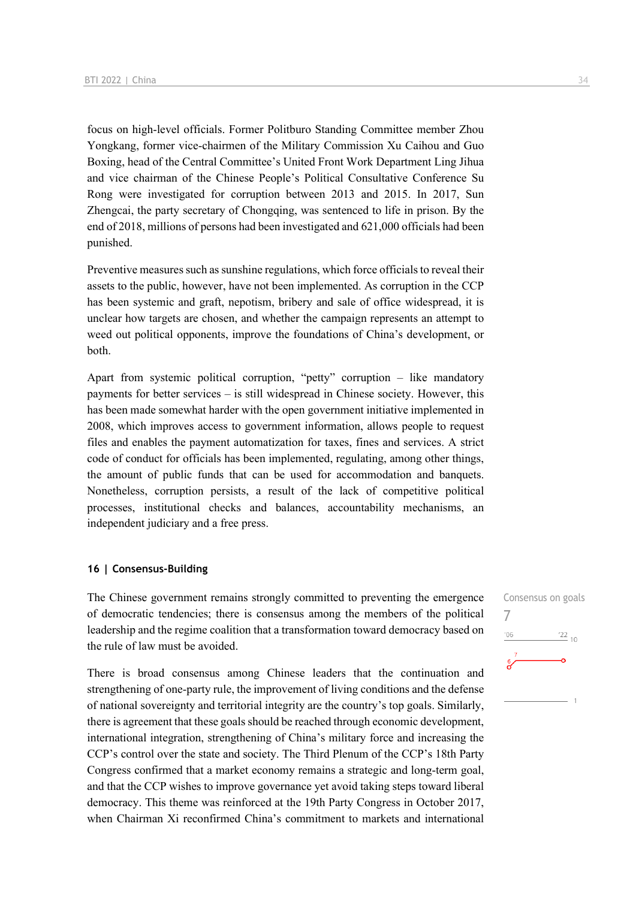focus on high-level officials. Former Politburo Standing Committee member Zhou Yongkang, former vice-chairmen of the Military Commission Xu Caihou and Guo Boxing, head of the Central Committee's United Front Work Department Ling Jihua and vice chairman of the Chinese People's Political Consultative Conference Su Rong were investigated for corruption between 2013 and 2015. In 2017, Sun Zhengcai, the party secretary of Chongqing, was sentenced to life in prison. By the end of 2018, millions of persons had been investigated and 621,000 officials had been punished.

Preventive measures such as sunshine regulations, which force officials to reveal their assets to the public, however, have not been implemented. As corruption in the CCP has been systemic and graft, nepotism, bribery and sale of office widespread, it is unclear how targets are chosen, and whether the campaign represents an attempt to weed out political opponents, improve the foundations of China's development, or both.

Apart from systemic political corruption, "petty" corruption – like mandatory payments for better services – is still widespread in Chinese society. However, this has been made somewhat harder with the open government initiative implemented in 2008, which improves access to government information, allows people to request files and enables the payment automatization for taxes, fines and services. A strict code of conduct for officials has been implemented, regulating, among other things, the amount of public funds that can be used for accommodation and banquets. Nonetheless, corruption persists, a result of the lack of competitive political processes, institutional checks and balances, accountability mechanisms, an independent judiciary and a free press.

#### **16 | Consensus-Building**

The Chinese government remains strongly committed to preventing the emergence of democratic tendencies; there is consensus among the members of the political leadership and the regime coalition that a transformation toward democracy based on the rule of law must be avoided.

There is broad consensus among Chinese leaders that the continuation and strengthening of one-party rule, the improvement of living conditions and the defense of national sovereignty and territorial integrity are the country's top goals. Similarly, there is agreement that these goals should be reached through economic development, international integration, strengthening of China's military force and increasing the CCP's control over the state and society. The Third Plenum of the CCP's 18th Party Congress confirmed that a market economy remains a strategic and long-term goal, and that the CCP wishes to improve governance yet avoid taking steps toward liberal democracy. This theme was reinforced at the 19th Party Congress in October 2017, when Chairman Xi reconfirmed China's commitment to markets and international

Consensus on goals 7 $\frac{22}{10}$  $-06$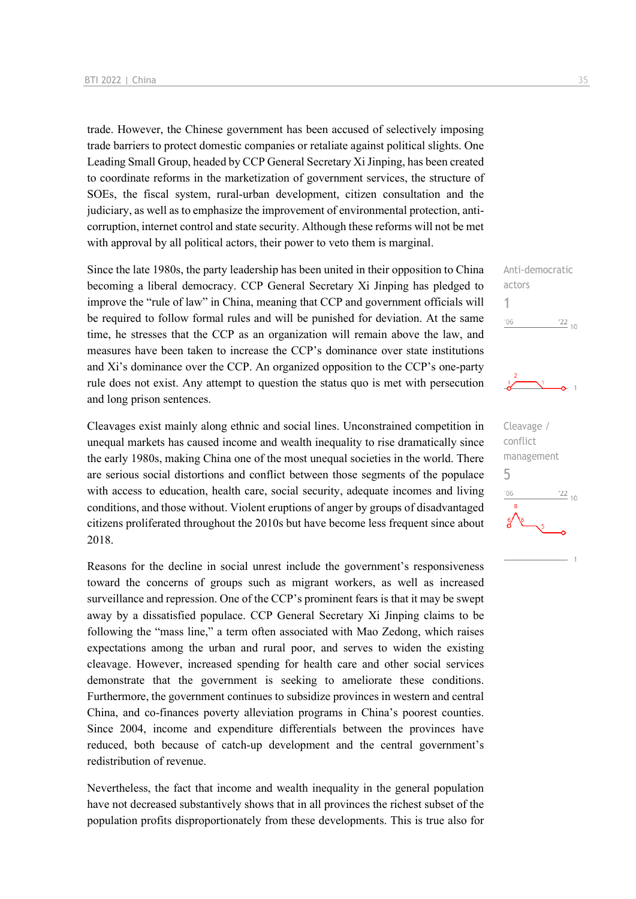trade. However, the Chinese government has been accused of selectively imposing trade barriers to protect domestic companies or retaliate against political slights. One Leading Small Group, headed by CCP General Secretary Xi Jinping, has been created to coordinate reforms in the marketization of government services, the structure of SOEs, the fiscal system, rural-urban development, citizen consultation and the judiciary, as well as to emphasize the improvement of environmental protection, anticorruption, internet control and state security. Although these reforms will not be met with approval by all political actors, their power to veto them is marginal.

Since the late 1980s, the party leadership has been united in their opposition to China becoming a liberal democracy. CCP General Secretary Xi Jinping has pledged to improve the "rule of law" in China, meaning that CCP and government officials will be required to follow formal rules and will be punished for deviation. At the same time, he stresses that the CCP as an organization will remain above the law, and measures have been taken to increase the CCP's dominance over state institutions and Xi's dominance over the CCP. An organized opposition to the CCP's one-party rule does not exist. Any attempt to question the status quo is met with persecution and long prison sentences.

Cleavages exist mainly along ethnic and social lines. Unconstrained competition in unequal markets has caused income and wealth inequality to rise dramatically since the early 1980s, making China one of the most unequal societies in the world. There are serious social distortions and conflict between those segments of the populace with access to education, health care, social security, adequate incomes and living conditions, and those without. Violent eruptions of anger by groups of disadvantaged citizens proliferated throughout the 2010s but have become less frequent since about 2018.

Reasons for the decline in social unrest include the government's responsiveness toward the concerns of groups such as migrant workers, as well as increased surveillance and repression. One of the CCP's prominent fears is that it may be swept away by a dissatisfied populace. CCP General Secretary Xi Jinping claims to be following the "mass line," a term often associated with Mao Zedong, which raises expectations among the urban and rural poor, and serves to widen the existing cleavage. However, increased spending for health care and other social services demonstrate that the government is seeking to ameliorate these conditions. Furthermore, the government continues to subsidize provinces in western and central China, and co-finances poverty alleviation programs in China's poorest counties. Since 2004, income and expenditure differentials between the provinces have reduced, both because of catch-up development and the central government's redistribution of revenue.

Nevertheless, the fact that income and wealth inequality in the general population have not decreased substantively shows that in all provinces the richest subset of the population profits disproportionately from these developments. This is true also for

Anti-democratic actors 1  $^{\prime}06$  $\frac{22}{10}$ 

![](_page_34_Figure_7.jpeg)

![](_page_34_Figure_8.jpeg)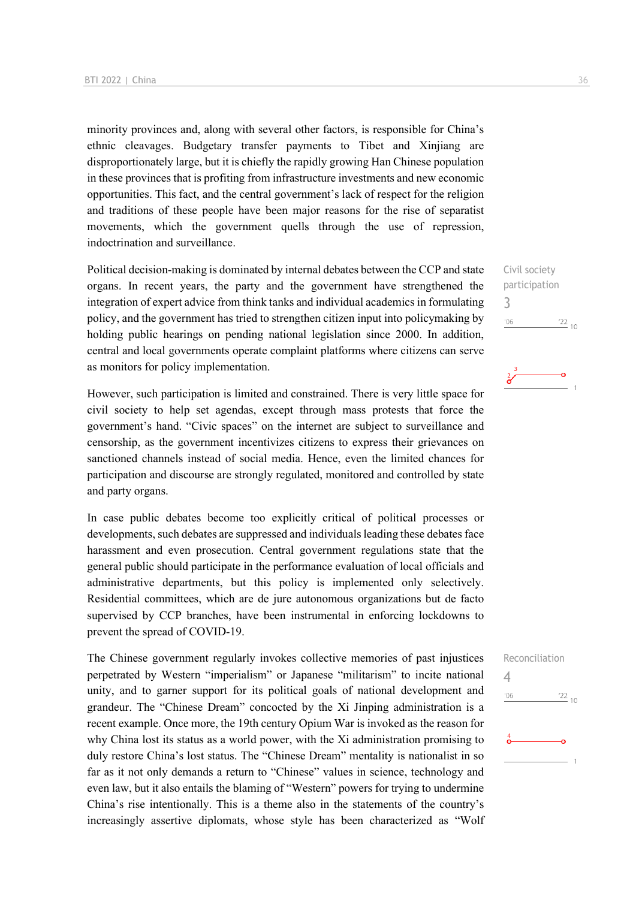minority provinces and, along with several other factors, is responsible for China's ethnic cleavages. Budgetary transfer payments to Tibet and Xinjiang are disproportionately large, but it is chiefly the rapidly growing Han Chinese population in these provinces that is profiting from infrastructure investments and new economic opportunities. This fact, and the central government's lack of respect for the religion and traditions of these people have been major reasons for the rise of separatist movements, which the government quells through the use of repression, indoctrination and surveillance.

Political decision-making is dominated by internal debates between the CCP and state organs. In recent years, the party and the government have strengthened the integration of expert advice from think tanks and individual academics in formulating policy, and the government has tried to strengthen citizen input into policymaking by holding public hearings on pending national legislation since 2000. In addition, central and local governments operate complaint platforms where citizens can serve as monitors for policy implementation.

However, such participation is limited and constrained. There is very little space for civil society to help set agendas, except through mass protests that force the government's hand. "Civic spaces" on the internet are subject to surveillance and censorship, as the government incentivizes citizens to express their grievances on sanctioned channels instead of social media. Hence, even the limited chances for participation and discourse are strongly regulated, monitored and controlled by state and party organs.

In case public debates become too explicitly critical of political processes or developments, such debates are suppressed and individuals leading these debates face harassment and even prosecution. Central government regulations state that the general public should participate in the performance evaluation of local officials and administrative departments, but this policy is implemented only selectively. Residential committees, which are de jure autonomous organizations but de facto supervised by CCP branches, have been instrumental in enforcing lockdowns to prevent the spread of COVID-19.

The Chinese government regularly invokes collective memories of past injustices perpetrated by Western "imperialism" or Japanese "militarism" to incite national unity, and to garner support for its political goals of national development and grandeur. The "Chinese Dream" concocted by the Xi Jinping administration is a recent example. Once more, the 19th century Opium War is invoked as the reason for why China lost its status as a world power, with the Xi administration promising to duly restore China's lost status. The "Chinese Dream" mentality is nationalist in so far as it not only demands a return to "Chinese" values in science, technology and even law, but it also entails the blaming of "Western" powers for trying to undermine China's rise intentionally. This is a theme also in the statements of the country's increasingly assertive diplomats, whose style has been characterized as "Wolf

Civil society participation 3 '06  $\frac{22}{10}$ 

![](_page_35_Picture_7.jpeg)

![](_page_35_Figure_8.jpeg)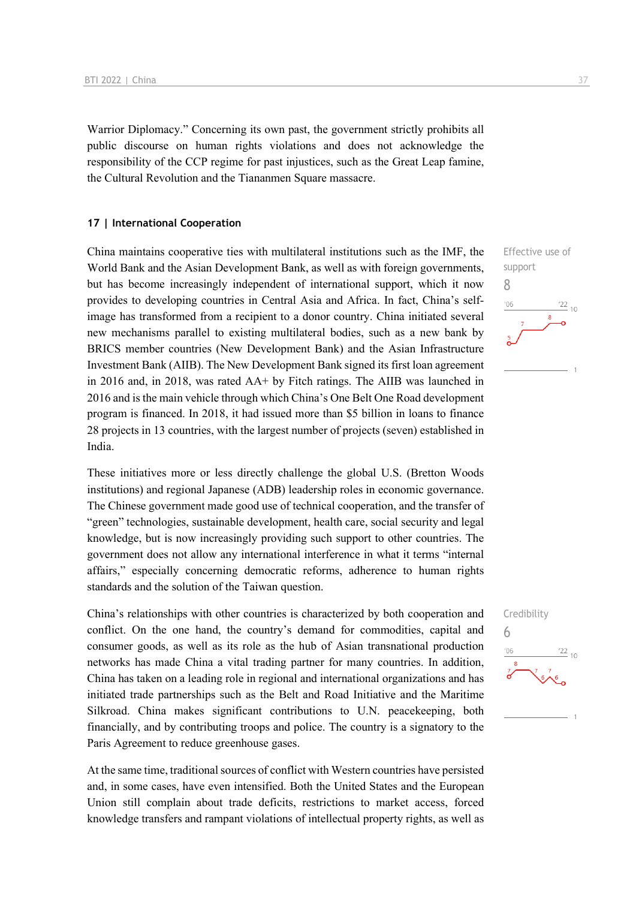Warrior Diplomacy." Concerning its own past, the government strictly prohibits all public discourse on human rights violations and does not acknowledge the responsibility of the CCP regime for past injustices, such as the Great Leap famine, the Cultural Revolution and the Tiananmen Square massacre.

#### **17 | International Cooperation**

China maintains cooperative ties with multilateral institutions such as the IMF, the World Bank and the Asian Development Bank, as well as with foreign governments, but has become increasingly independent of international support, which it now provides to developing countries in Central Asia and Africa. In fact, China's selfimage has transformed from a recipient to a donor country. China initiated several new mechanisms parallel to existing multilateral bodies, such as a new bank by BRICS member countries (New Development Bank) and the Asian Infrastructure Investment Bank (AIIB). The New Development Bank signed its first loan agreement in 2016 and, in 2018, was rated AA+ by Fitch ratings. The AIIB was launched in 2016 and is the main vehicle through which China's One Belt One Road development program is financed. In 2018, it had issued more than \$5 billion in loans to finance 28 projects in 13 countries, with the largest number of projects (seven) established in India.

These initiatives more or less directly challenge the global U.S. (Bretton Woods institutions) and regional Japanese (ADB) leadership roles in economic governance. The Chinese government made good use of technical cooperation, and the transfer of "green" technologies, sustainable development, health care, social security and legal knowledge, but is now increasingly providing such support to other countries. The government does not allow any international interference in what it terms "internal affairs," especially concerning democratic reforms, adherence to human rights standards and the solution of the Taiwan question.

China's relationships with other countries is characterized by both cooperation and conflict. On the one hand, the country's demand for commodities, capital and consumer goods, as well as its role as the hub of Asian transnational production networks has made China a vital trading partner for many countries. In addition, China has taken on a leading role in regional and international organizations and has initiated trade partnerships such as the Belt and Road Initiative and the Maritime Silkroad. China makes significant contributions to U.N. peacekeeping, both financially, and by contributing troops and police. The country is a signatory to the Paris Agreement to reduce greenhouse gases.

At the same time, traditional sources of conflict with Western countries have persisted and, in some cases, have even intensified. Both the United States and the European Union still complain about trade deficits, restrictions to market access, forced knowledge transfers and rampant violations of intellectual property rights, as well as

![](_page_36_Figure_7.jpeg)

![](_page_36_Figure_8.jpeg)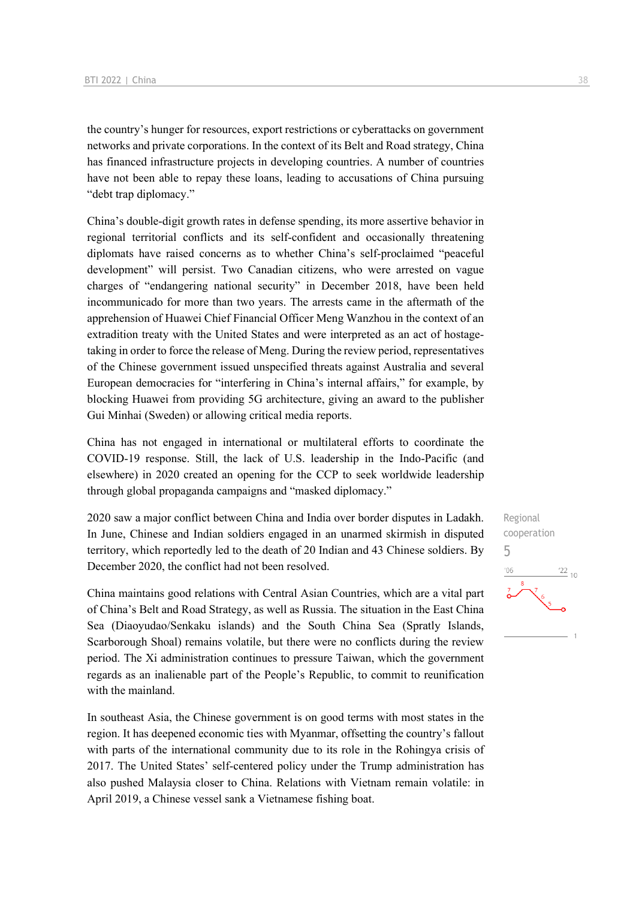the country's hunger for resources, export restrictions or cyberattacks on government networks and private corporations. In the context of its Belt and Road strategy, China has financed infrastructure projects in developing countries. A number of countries have not been able to repay these loans, leading to accusations of China pursuing "debt trap diplomacy."

China's double-digit growth rates in defense spending, its more assertive behavior in regional territorial conflicts and its self-confident and occasionally threatening diplomats have raised concerns as to whether China's self-proclaimed "peaceful development" will persist. Two Canadian citizens, who were arrested on vague charges of "endangering national security" in December 2018, have been held incommunicado for more than two years. The arrests came in the aftermath of the apprehension of Huawei Chief Financial Officer Meng Wanzhou in the context of an extradition treaty with the United States and were interpreted as an act of hostagetaking in order to force the release of Meng. During the review period, representatives of the Chinese government issued unspecified threats against Australia and several European democracies for "interfering in China's internal affairs," for example, by blocking Huawei from providing 5G architecture, giving an award to the publisher Gui Minhai (Sweden) or allowing critical media reports.

China has not engaged in international or multilateral efforts to coordinate the COVID-19 response. Still, the lack of U.S. leadership in the Indo-Pacific (and elsewhere) in 2020 created an opening for the CCP to seek worldwide leadership through global propaganda campaigns and "masked diplomacy."

2020 saw a major conflict between China and India over border disputes in Ladakh. In June, Chinese and Indian soldiers engaged in an unarmed skirmish in disputed territory, which reportedly led to the death of 20 Indian and 43 Chinese soldiers. By December 2020, the conflict had not been resolved.

China maintains good relations with Central Asian Countries, which are a vital part of China's Belt and Road Strategy, as well as Russia. The situation in the East China Sea (Diaoyudao/Senkaku islands) and the South China Sea (Spratly Islands, Scarborough Shoal) remains volatile, but there were no conflicts during the review period. The Xi administration continues to pressure Taiwan, which the government regards as an inalienable part of the People's Republic, to commit to reunification with the mainland.

In southeast Asia, the Chinese government is on good terms with most states in the region. It has deepened economic ties with Myanmar, offsetting the country's fallout with parts of the international community due to its role in the Rohingya crisis of 2017. The United States' self-centered policy under the Trump administration has also pushed Malaysia closer to China. Relations with Vietnam remain volatile: in April 2019, a Chinese vessel sank a Vietnamese fishing boat.

Regional cooperation 5 $\frac{22}{10}$  $106$